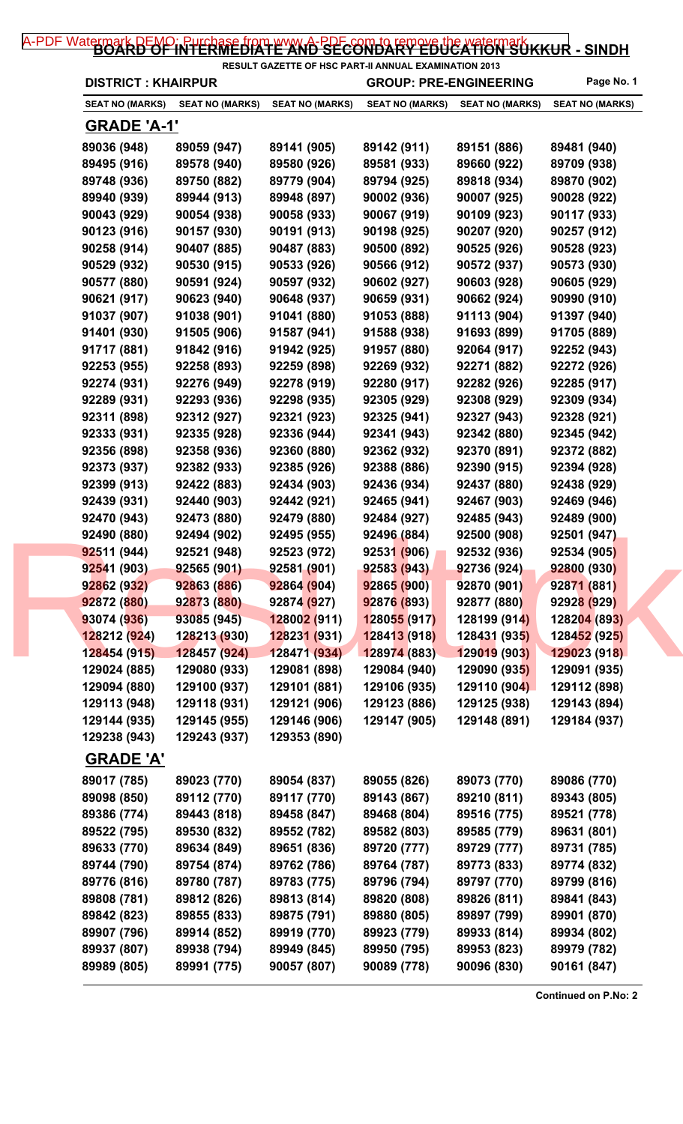## [A-PDF Watermark DEMO: Purchase from www.A-PDF.com to remove the watermark](http://www.a-pdf.com/?wm-demo) KKUR - SINDH

| <b>DISTRICT: KHAIRPUR</b>  |                            |                            | RESULT GAZETTE OF HSC PART-II ANNUAL EXAMINATION 2013<br><b>GROUP: PRE-ENGINEERING</b> |                            | Page No. 1                 |
|----------------------------|----------------------------|----------------------------|----------------------------------------------------------------------------------------|----------------------------|----------------------------|
| <b>SEAT NO (MARKS)</b>     | <b>SEAT NO (MARKS)</b>     | <b>SEAT NO (MARKS)</b>     | <b>SEAT NO (MARKS)</b>                                                                 | <b>SEAT NO (MARKS)</b>     | <b>SEAT NO (MARKS)</b>     |
| <b>GRADE 'A-1'</b>         |                            |                            |                                                                                        |                            |                            |
| 89036 (948)                | 89059 (947)                | 89141 (905)                | 89142 (911)                                                                            | 89151 (886)                | 89481 (940)                |
| 89495 (916)                | 89578 (940)                | 89580 (926)                | 89581 (933)                                                                            | 89660 (922)                | 89709 (938)                |
| 89748 (936)                | 89750 (882)                | 89779 (904)                | 89794 (925)                                                                            | 89818 (934)                | 89870 (902)                |
| 89940 (939)                | 89944 (913)                | 89948 (897)                | 90002 (936)                                                                            | 90007 (925)                | 90028 (922)                |
| 90043 (929)                | 90054 (938)                | 90058 (933)                | 90067 (919)                                                                            | 90109 (923)                | 90117 (933)                |
| 90123 (916)                | 90157 (930)                | 90191 (913)                | 90198 (925)                                                                            | 90207 (920)                | 90257 (912)                |
| 90258 (914)                | 90407 (885)                | 90487 (883)                | 90500 (892)                                                                            | 90525 (926)                | 90528 (923)                |
| 90529 (932)                | 90530 (915)                | 90533 (926)                | 90566 (912)                                                                            | 90572 (937)                | 90573 (930)                |
| 90577 (880)                | 90591 (924)                | 90597 (932)                | 90602 (927)                                                                            | 90603 (928)                | 90605 (929)                |
| 90621 (917)                | 90623 (940)                | 90648 (937)                | 90659 (931)                                                                            | 90662 (924)                | 90990 (910)                |
| 91037 (907)                | 91038 (901)                | 91041 (880)                | 91053 (888)                                                                            | 91113 (904)                | 91397 (940)                |
| 91401 (930)                | 91505 (906)                | 91587 (941)                | 91588 (938)                                                                            | 91693 (899)                | 91705 (889)                |
| 91717 (881)                | 91842 (916)                | 91942 (925)                | 91957 (880)                                                                            | 92064 (917)                | 92252 (943)                |
| 92253 (955)                | 92258 (893)                | 92259 (898)                | 92269 (932)                                                                            | 92271 (882)                | 92272 (926)                |
| 92274 (931)                | 92276 (949)                | 92278 (919)                | 92280 (917)                                                                            | 92282 (926)                | 92285 (917)                |
| 92289 (931)                | 92293 (936)                | 92298 (935)                | 92305 (929)                                                                            | 92308 (929)                | 92309 (934)                |
| 92311 (898)                | 92312 (927)                | 92321 (923)                | 92325 (941)                                                                            | 92327 (943)                | 92328 (921)                |
| 92333 (931)                | 92335 (928)                | 92336 (944)                | 92341 (943)                                                                            | 92342 (880)                | 92345 (942)                |
| 92356 (898)                | 92358 (936)                | 92360 (880)                | 92362 (932)                                                                            | 92370 (891)                | 92372 (882)                |
| 92373 (937)                | 92382 (933)                | 92385 (926)                | 92388 (886)                                                                            | 92390 (915)                | 92394 (928)                |
| 92399 (913)                | 92422 (883)                | 92434 (903)                | 92436 (934)                                                                            | 92437 (880)                | 92438 (929)                |
| 92439 (931)                | 92440 (903)                | 92442 (921)                | 92465 (941)                                                                            | 92467 (903)                | 92469 (946)                |
| 92470 (943)                | 92473 (880)                | 92479 (880)                | 92484 (927)                                                                            | 92485 (943)                | 92489 (900)                |
| 92490 (880)                | 92494 (902)                | 92495 (955)                | 92496 (884)                                                                            | 92500 (908)                | 92501 (947)                |
| 92511 (944)                | 92521 (948)                | 92523 (972)                | $92531(906)$ 92532 (936)                                                               |                            | 92534 (905)                |
| 92541 (903)                | 92565 (901)                | 92581 (901)                | 92583 (943)                                                                            | 92736 (924)                | 92800 (930)                |
| 92862 (932)                | 92863 (886)                | 92864 (904)                | 92865 (900)                                                                            | 92870 (901)                | 92871 (881)                |
| 92872 (880)                | 92873 (880)                | 92874 (927)                | 92876 (893)                                                                            | 92877 (880)                | 92928 (929)                |
| 93074 (936)                | 93085 (945)                | 128002 (911)               | 128055 (917)                                                                           | 128199 (914)               | 128204 (893)               |
| 128212 (924)               | 128213 (930)               | <mark>128231 (9</mark> 31) | 128413 (918)                                                                           | 128431 (935)               | 128452 (925)               |
| 128454 (915)               | 128457 (924)               | 128471 (934)               | 128974 (883)                                                                           | 129019 (903)               | 129023 (918)               |
| 129024 (885)               | 129080 (933)               | 129081 (898)               | 129084 (940)                                                                           | 129090 (935)               | 129091 (935)               |
| 129094 (880)               | 129100 (937)               | 129101 (881)               | 129106 (935)                                                                           | 129110 (904)               | 129112 (898)               |
| 129113 (948)               | 129118 (931)               | 129121 (906)               | 129123 (886)                                                                           | 129125 (938)               | 129143 (894)               |
| 129144 (935)               | 129145 (955)               | 129146 (906)               | 129147 (905)                                                                           | 129148 (891)               | 129184 (937)               |
| 129238 (943)               | 129243 (937)               | 129353 (890)               |                                                                                        |                            |                            |
| <b>GRADE 'A'</b>           |                            |                            |                                                                                        |                            |                            |
| 89017 (785)                | 89023 (770)                | 89054 (837)                | 89055 (826)                                                                            | 89073 (770)                | 89086 (770)                |
| 89098 (850)                |                            |                            |                                                                                        | 89210 (811)                | 89343 (805)                |
|                            | 89112 (770)                | 89117 (770)                | 89143 (867)                                                                            |                            |                            |
| 89386 (774)                | 89443 (818)                | 89458 (847)                | 89468 (804)                                                                            | 89516 (775)                | 89521 (778)                |
| 89522 (795)                | 89530 (832)                | 89552 (782)                | 89582 (803)                                                                            | 89585 (779)                | 89631 (801)                |
| 89633 (770)                | 89634 (849)                | 89651 (836)                | 89720 (777)                                                                            | 89729 (777)                | 89731 (785)                |
| 89744 (790)                | 89754 (874)                | 89762 (786)                | 89764 (787)                                                                            | 89773 (833)                | 89774 (832)                |
| 89776 (816)                | 89780 (787)                | 89783 (775)                | 89796 (794)                                                                            | 89797 (770)                | 89799 (816)                |
| 89808 (781)                | 89812 (826)                | 89813 (814)                | 89820 (808)                                                                            | 89826 (811)                | 89841 (843)                |
| 89842 (823)                | 89855 (833)                | 89875 (791)                | 89880 (805)                                                                            | 89897 (799)                | 89901 (870)                |
| 89907 (796)<br>89937 (807) | 89914 (852)<br>89938 (794) | 89919 (770)<br>89949 (845) | 89923 (779)<br>89950 (795)                                                             | 89933 (814)<br>89953 (823) | 89934 (802)<br>89979 (782) |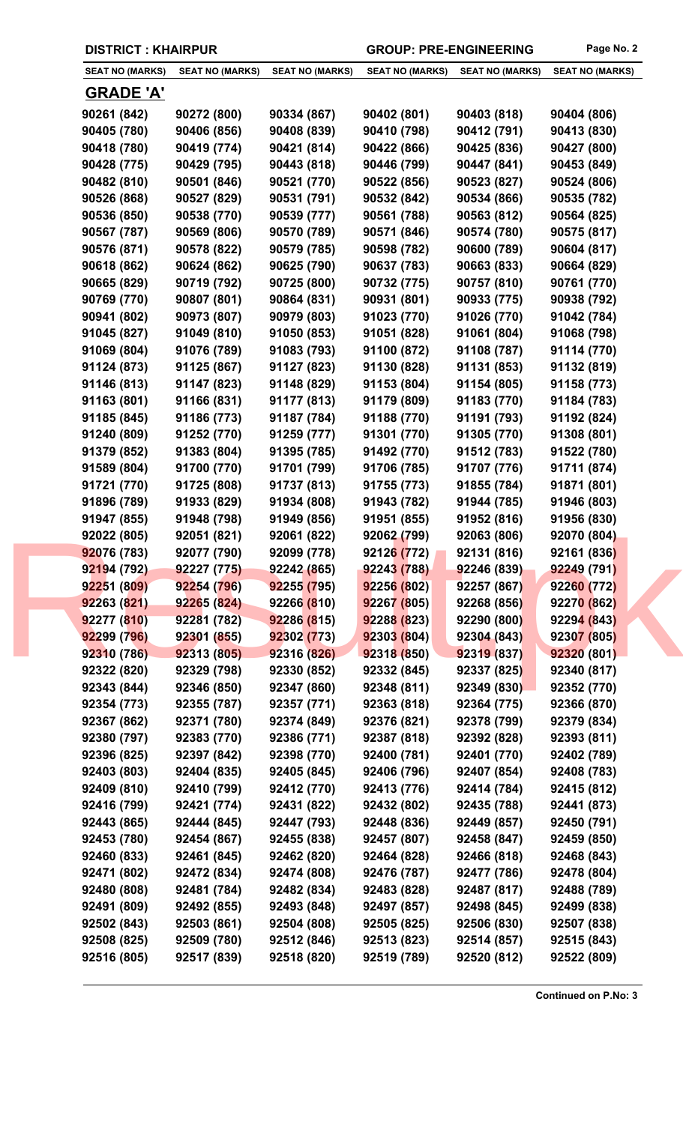| <b>SEAT NO (MARKS)</b> | <b>SEAT NO (MARKS)</b>    | <b>SEAT NO (MARKS)</b> | <b>SEAT NO (MARKS)</b> | <b>SEAT NO (MARKS)</b> | <b>SEAT NO (MARKS)</b> |
|------------------------|---------------------------|------------------------|------------------------|------------------------|------------------------|
|                        |                           |                        |                        |                        |                        |
| <u>GRADE 'A'</u>       |                           |                        |                        |                        |                        |
| 90261 (842)            | 90272 (800)               | 90334 (867)            | 90402 (801)            | 90403 (818)            | 90404 (806)            |
| 90405 (780)            | 90406 (856)               | 90408 (839)            | 90410 (798)            | 90412 (791)            | 90413 (830)            |
| 90418 (780)            | 90419 (774)               | 90421 (814)            | 90422 (866)            | 90425 (836)            | 90427 (800)            |
| 90428 (775)            | 90429 (795)               | 90443 (818)            | 90446 (799)            | 90447 (841)            | 90453 (849)            |
| 90482 (810)            | 90501 (846)               | 90521 (770)            | 90522 (856)            | 90523 (827)            | 90524 (806)            |
| 90526 (868)            | 90527 (829)               | 90531 (791)            | 90532 (842)            | 90534 (866)            | 90535 (782)            |
| 90536 (850)            | 90538 (770)               | 90539 (777)            | 90561 (788)            | 90563 (812)            | 90564 (825)            |
| 90567 (787)            | 90569 (806)               | 90570 (789)            | 90571 (846)            | 90574 (780)            | 90575 (817)            |
| 90576 (871)            | 90578 (822)               | 90579 (785)            | 90598 (782)            | 90600 (789)            | 90604 (817)            |
| 90618 (862)            | 90624 (862)               | 90625 (790)            | 90637 (783)            | 90663 (833)            | 90664 (829)            |
| 90665 (829)            | 90719 (792)               | 90725 (800)            | 90732 (775)            | 90757 (810)            | 90761 (770)            |
| 90769 (770)            | 90807 (801)               | 90864 (831)            | 90931 (801)            | 90933 (775)            | 90938 (792)            |
| 90941 (802)            | 90973 (807)               | 90979 (803)            | 91023 (770)            | 91026 (770)            | 91042 (784)            |
| 91045 (827)            | 91049 (810)               | 91050 (853)            | 91051 (828)            | 91061 (804)            | 91068 (798)            |
| 91069 (804)            | 91076 (789)               | 91083 (793)            | 91100 (872)            | 91108 (787)            | 91114 (770)            |
| 91124 (873)            | 91125 (867)               | 91127 (823)            | 91130 (828)            | 91131 (853)            | 91132 (819)            |
| 91146 (813)            | 91147 (823)               | 91148 (829)            | 91153 (804)            | 91154 (805)            | 91158 (773)            |
| 91163 (801)            | 91166 (831)               | 91177 (813)            | 91179 (809)            | 91183 (770)            | 91184 (783)            |
| 91185 (845)            | 91186 (773)               | 91187 (784)            | 91188 (770)            | 91191 (793)            | 91192 (824)            |
| 91240 (809)            | 91252 (770)               | 91259 (777)            | 91301 (770)            | 91305 (770)            | 91308 (801)            |
| 91379 (852)            | 91383 (804)               | 91395 (785)            | 91492 (770)            | 91512 (783)            | 91522 (780)            |
| 91589 (804)            | 91700 (770)               | 91701 (799)            | 91706 (785)            | 91707 (776)            | 91711 (874)            |
| 91721 (770)            | 91725 (808)               | 91737 (813)            | 91755 (773)            | 91855 (784)            | 91871 (801)            |
| 91896 (789)            | 91933 (829)               | 91934 (808)            | 91943 (782)            | 91944 (785)            | 91946 (803)            |
| 91947 (855)            | 91948 (798)               | 91949 (856)            | 91951 (855)            | 91952 (816)            | 91956 (830)            |
| 92022 (805)            | 92051 (821)               | 92061 (822)            | 92062 (799)            | 92063 (806)            | 92070 (804)            |
| 92076 (783)            | 92077 (790)               | 92099 (778)            | 92126 (772)            | 92131 (816)            | 92161 (836)            |
| 92194 (792)            | $92227(775)$ $92242(865)$ |                        | 92243 (788)            | 92246 (839)            | 92249 (791)            |
| 92251(809)             | 92254 (796)               | 92255 (795)            | 92256 (802)            | 92257 (867)            | 92260 (772)            |
| 92263 (821)            | 92265(824)                | 92266 (810)            | 92267(805)             | 92268 (856)            | 92270 (862)            |
| 92277 (810)            | 92281 (782)               | 92286 (815)            | 92288 (823)            | 92290(800)             | 92294 (843)            |
| 92299 (796)            | 92301 (855)               | 92302 (773)            | 92303 (804)            | 92304 (843)            | 92307 (805)            |
| 92310 (786)            | 92313 (805)               | 92316 (826)            | 92318 (850)            | 92319 (837)            | 92320 (801)            |
| 92322 (820)            | 92329 (798)               | 92330 (852)            | 92332 (845)            | 92337 (825)            | 92340 (817)            |
| 92343 (844)            | 92346 (850)               | 92347 (860)            | 92348 (811)            | 92349(830)             | 92352 (770)            |
| 92354 (773)            | 92355 (787)               | 92357 (771)            | 92363 (818)            | 92364 (775)            | 92366 (870)            |
| 92367 (862)            | 92371 (780)               | 92374 (849)            | 92376 (821)            | 92378 (799)            | 92379 (834)            |
| 92380 (797)            | 92383 (770)               | 92386 (771)            | 92387 (818)            | 92392 (828)            | 92393 (811)            |
| 92396 (825)            | 92397 (842)               | 92398 (770)            | 92400 (781)            | 92401 (770)            | 92402 (789)            |
| 92403 (803)            | 92404 (835)               | 92405 (845)            | 92406 (796)            | 92407 (854)            | 92408 (783)            |
| 92409 (810)            | 92410 (799)               | 92412 (770)            | 92413 (776)            | 92414 (784)            | 92415 (812)            |
| 92416 (799)            | 92421 (774)               | 92431 (822)            | 92432 (802)            | 92435 (788)            | 92441 (873)            |
| 92443 (865)            | 92444 (845)               | 92447 (793)            | 92448 (836)            | 92449 (857)            | 92450 (791)            |
| 92453 (780)            | 92454 (867)               | 92455 (838)            | 92457 (807)            | 92458 (847)            | 92459 (850)            |
| 92460 (833)            | 92461 (845)               | 92462 (820)            | 92464 (828)            | 92466 (818)            | 92468 (843)            |
| 92471 (802)            | 92472 (834)               | 92474 (808)            | 92476 (787)            | 92477 (786)            | 92478 (804)            |
| 92480 (808)            | 92481 (784)               | 92482 (834)            | 92483 (828)            | 92487 (817)            | 92488 (789)            |
| 92491 (809)            |                           | 92493 (848)            | 92497 (857)            | 92498 (845)            |                        |
|                        | 92492 (855)               |                        |                        |                        | 92499 (838)            |
| 92502 (843)            | 92503 (861)               | 92504 (808)            | 92505 (825)            | 92506 (830)            | 92507 (838)            |
| 92508 (825)            | 92509 (780)               | 92512 (846)            | 92513 (823)            | 92514 (857)            | 92515 (843)            |
| 92516 (805)            | 92517 (839)               | 92518 (820)            | 92519 (789)            | 92520 (812)            | 92522 (809)            |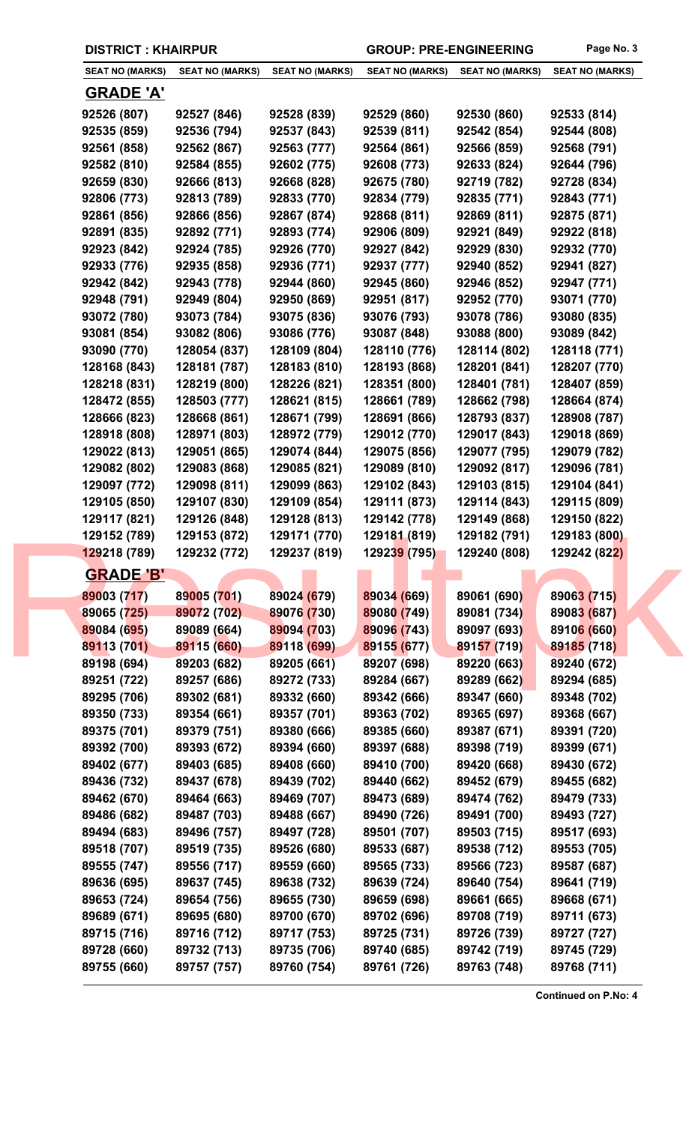| <b>SEAT NO (MARKS)</b> | <b>SEAT NO (MARKS)</b> | <b>SEAT NO (MARKS)</b> | <b>SEAT NO (MARKS)</b> | <b>SEAT NO (MARKS)</b> | <b>SEAT NO (MARKS)</b> |
|------------------------|------------------------|------------------------|------------------------|------------------------|------------------------|
| <u>GRADE 'A'</u>       |                        |                        |                        |                        |                        |
| 92526 (807)            | 92527 (846)            | 92528 (839)            | 92529 (860)            | 92530 (860)            | 92533 (814)            |
| 92535 (859)            | 92536 (794)            | 92537 (843)            | 92539 (811)            | 92542 (854)            | 92544 (808)            |
| 92561 (858)            | 92562 (867)            | 92563 (777)            | 92564 (861)            | 92566 (859)            | 92568 (791)            |
| 92582 (810)            | 92584 (855)            | 92602 (775)            | 92608 (773)            | 92633 (824)            | 92644 (796)            |
| 92659 (830)            | 92666 (813)            | 92668 (828)            | 92675 (780)            | 92719 (782)            | 92728 (834)            |
| 92806 (773)            | 92813 (789)            | 92833 (770)            | 92834 (779)            | 92835 (771)            | 92843 (771)            |
| 92861 (856)            | 92866 (856)            | 92867 (874)            | 92868 (811)            | 92869 (811)            | 92875 (871)            |
| 92891 (835)            | 92892 (771)            | 92893 (774)            | 92906 (809)            | 92921 (849)            | 92922 (818)            |
| 92923 (842)            | 92924 (785)            | 92926 (770)            | 92927 (842)            | 92929 (830)            | 92932 (770)            |
| 92933 (776)            | 92935 (858)            | 92936 (771)            | 92937 (777)            | 92940 (852)            | 92941 (827)            |
| 92942 (842)            | 92943 (778)            | 92944 (860)            | 92945 (860)            | 92946 (852)            | 92947 (771)            |
| 92948 (791)            | 92949 (804)            | 92950 (869)            | 92951 (817)            | 92952 (770)            | 93071 (770)            |
| 93072 (780)            | 93073 (784)            | 93075 (836)            | 93076 (793)            | 93078 (786)            | 93080 (835)            |
| 93081 (854)            | 93082 (806)            | 93086 (776)            | 93087 (848)            | 93088 (800)            | 93089 (842)            |
| 93090 (770)            | 128054 (837)           | 128109 (804)           | 128110 (776)           | 128114 (802)           | 128118 (771)           |
| 128168 (843)           | 128181 (787)           | 128183 (810)           | 128193 (868)           | 128201 (841)           | 128207 (770)           |
| 128218 (831)           | 128219 (800)           | 128226 (821)           | 128351 (800)           | 128401 (781)           | 128407 (859)           |
| 128472 (855)           | 128503 (777)           | 128621 (815)           | 128661 (789)           | 128662 (798)           | 128664 (874)           |
| 128666 (823)           | 128668 (861)           | 128671 (799)           | 128691 (866)           | 128793 (837)           | 128908 (787)           |
| 128918 (808)           | 128971 (803)           | 128972 (779)           | 129012 (770)           | 129017 (843)           | 129018 (869)           |
| 129022 (813)           | 129051 (865)           | 129074 (844)           | 129075 (856)           | 129077 (795)           | 129079 (782)           |
| 129082 (802)           | 129083 (868)           | 129085 (821)           | 129089 (810)           | 129092 (817)           | 129096 (781)           |
| 129097 (772)           | 129098 (811)           | 129099 (863)           | 129102 (843)           | 129103 (815)           | 129104 (841)           |
| 129105 (850)           | 129107 (830)           | 129109 (854)           | 129111 (873)           | 129114 (843)           | 129115 (809)           |
| 129117 (821)           | 129126 (848)           | 129128 (813)           | 129142 (778)           | 129149 (868)           | 129150 (822)           |
| 129152 (789)           | 129153 (872)           | 129171 (770)           | 129181 (819)           | 129182 (791)           | 129183 (800)           |
| 129218 (789)           | 129232 (772)           | 129237 (819)           | 129239 (795)           | 129240 (808)           | 129242 (822)           |
| <u>GRADE 'B'</u>       |                        |                        |                        |                        |                        |
| 89003 (717)            | 89005 (701)            | 89024 (679)            | 89034 (669)            | 89061 (690)            | 89063 (715)            |
| 89065 (725)            | 89072 (702)            | 89076 (730)            | 89080 (749)            | 89081 (734)            | 89083 (687)            |
| 89084 (695)            | 89089 (664)            | 89094 (703)            | 89096 (743)            | 89097 (693)            | 89106 (660)            |
| 89113 (701)            | 89115 (660)            | 89118 (699)            | 89155 (677)            | 89157 (719)            | 89185 (718)            |
| 89198 (694)            | 89203 (682)            | 89205 (661)            | 89207 (698)            | 89220 (663)            | 89240 (672)            |
| 89251 (722)            | 89257 (686)            | 89272 (733)            | 89284 (667)            | 89289 (662)            | 89294 (685)            |
| 89295 (706)            | 89302 (681)            | 89332 (660)            | 89342 (666)            | 89347 (660)            | 89348 (702)            |
| 89350 (733)            | 89354 (661)            | 89357 (701)            | 89363 (702)            | 89365 (697)            | 89368 (667)            |
| 89375 (701)            | 89379 (751)            | 89380 (666)            | 89385 (660)            | 89387 (671)            | 89391 (720)            |
| 89392 (700)            | 89393 (672)            | 89394 (660)            | 89397 (688)            | 89398 (719)            | 89399 (671)            |
| 89402 (677)            | 89403 (685)            | 89408 (660)            | 89410 (700)            | 89420 (668)            | 89430 (672)            |
| 89436 (732)            | 89437 (678)            | 89439 (702)            | 89440 (662)            | 89452 (679)            | 89455 (682)            |
| 89462 (670)            | 89464 (663)            | 89469 (707)            | 89473 (689)            | 89474 (762)            | 89479 (733)            |
| 89486 (682)            | 89487 (703)            | 89488 (667)            | 89490 (726)            | 89491 (700)            | 89493 (727)            |
| 89494 (683)            | 89496 (757)            | 89497 (728)            | 89501 (707)            | 89503 (715)            | 89517 (693)            |
| 89518 (707)            | 89519 (735)            | 89526 (680)            | 89533 (687)            | 89538 (712)            | 89553 (705)            |
| 89555 (747)            | 89556 (717)            | 89559 (660)            | 89565 (733)            | 89566 (723)            | 89587 (687)            |
| 89636 (695)            | 89637 (745)            | 89638 (732)            | 89639 (724)            | 89640 (754)            | 89641 (719)            |
| 89653 (724)            | 89654 (756)            | 89655 (730)            | 89659 (698)            | 89661 (665)            | 89668 (671)            |
| 89689 (671)            | 89695 (680)            | 89700 (670)            | 89702 (696)            | 89708 (719)            | 89711 (673)            |
| 89715 (716)            | 89716 (712)            | 89717 (753)            | 89725 (731)            | 89726 (739)            | 89727 (727)            |
| 89728 (660)            | 89732 (713)            | 89735 (706)            | 89740 (685)            | 89742 (719)            | 89745 (729)            |
| 89755 (660)            | 89757 (757)            | 89760 (754)            | 89761 (726)            | 89763 (748)            | 89768 (711)            |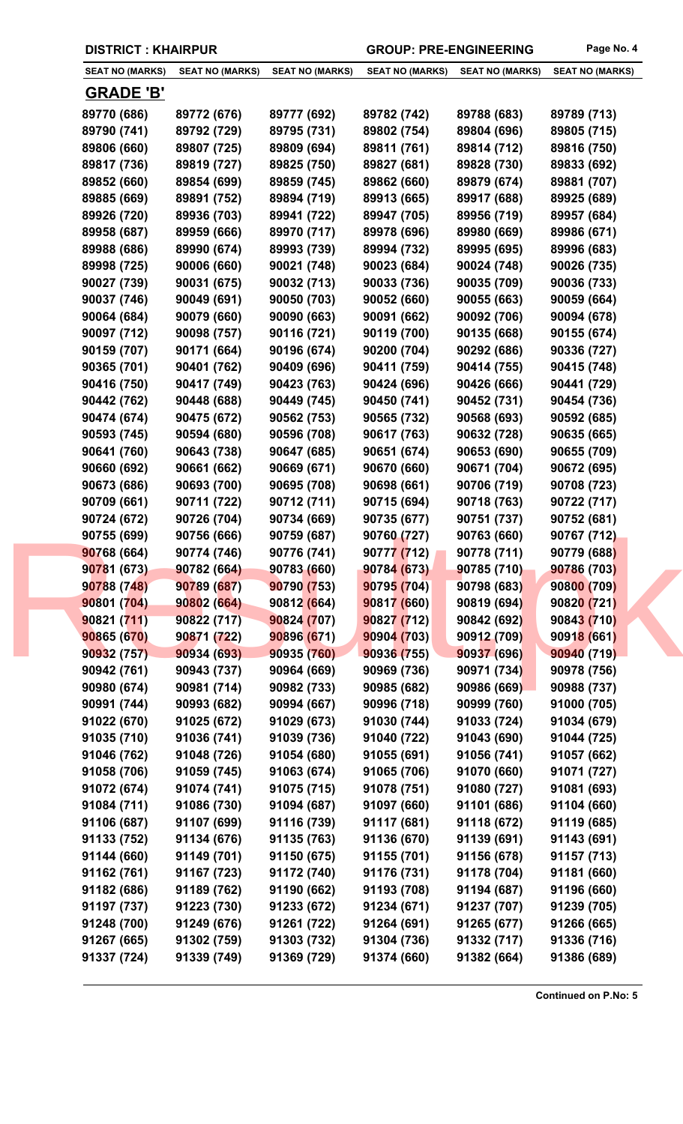| <b>SEAT NO (MARKS)</b> | <b>SEAT NO (MARKS)</b> | <b>SEAT NO (MARKS)</b> | <b>SEAT NO (MARKS)</b> | <b>SEAT NO (MARKS)</b> | <b>SEAT NO (MARKS)</b> |
|------------------------|------------------------|------------------------|------------------------|------------------------|------------------------|
| <b>GRADE 'B'</b>       |                        |                        |                        |                        |                        |
| 89770 (686)            | 89772 (676)            | 89777 (692)            | 89782 (742)            | 89788 (683)            | 89789 (713)            |
| 89790 (741)            | 89792 (729)            | 89795 (731)            | 89802 (754)            | 89804 (696)            | 89805 (715)            |
| 89806 (660)            | 89807 (725)            | 89809 (694)            | 89811 (761)            | 89814 (712)            | 89816 (750)            |
| 89817 (736)            | 89819 (727)            | 89825 (750)            | 89827 (681)            | 89828 (730)            | 89833 (692)            |
| 89852 (660)            | 89854 (699)            | 89859 (745)            | 89862 (660)            | 89879 (674)            | 89881 (707)            |
| 89885 (669)            | 89891 (752)            | 89894 (719)            | 89913 (665)            | 89917 (688)            | 89925 (689)            |
| 89926 (720)            | 89936 (703)            | 89941 (722)            | 89947 (705)            | 89956 (719)            | 89957 (684)            |
| 89958 (687)            | 89959 (666)            | 89970 (717)            | 89978 (696)            | 89980 (669)            | 89986 (671)            |
| 89988 (686)            | 89990 (674)            | 89993 (739)            | 89994 (732)            | 89995 (695)            | 89996 (683)            |
| 89998 (725)            | 90006 (660)            | 90021 (748)            | 90023 (684)            | 90024 (748)            | 90026 (735)            |
| 90027 (739)            | 90031 (675)            | 90032 (713)            | 90033 (736)            | 90035 (709)            | 90036 (733)            |
| 90037 (746)            | 90049 (691)            | 90050 (703)            | 90052 (660)            | 90055 (663)            | 90059 (664)            |
| 90064 (684)            | 90079 (660)            | 90090 (663)            | 90091 (662)            | 90092 (706)            | 90094 (678)            |
| 90097 (712)            | 90098 (757)            | 90116 (721)            | 90119 (700)            | 90135 (668)            | 90155 (674)            |
| 90159 (707)            | 90171 (664)            | 90196 (674)            | 90200 (704)            | 90292 (686)            | 90336 (727)            |
| 90365 (701)            | 90401 (762)            | 90409 (696)            | 90411 (759)            | 90414 (755)            | 90415 (748)            |
| 90416 (750)            | 90417 (749)            | 90423 (763)            | 90424 (696)            | 90426 (666)            | 90441 (729)            |
| 90442 (762)            | 90448 (688)            | 90449 (745)            | 90450 (741)            | 90452 (731)            | 90454 (736)            |
| 90474 (674)            | 90475 (672)            | 90562 (753)            | 90565 (732)            | 90568 (693)            | 90592 (685)            |
| 90593 (745)            | 90594 (680)            | 90596 (708)            | 90617 (763)            | 90632 (728)            | 90635 (665)            |
| 90641 (760)            | 90643 (738)            | 90647 (685)            | 90651 (674)            | 90653 (690)            | 90655 (709)            |
| 90660 (692)            | 90661 (662)            | 90669 (671)            | 90670 (660)            | 90671 (704)            | 90672 (695)            |
| 90673 (686)            | 90693 (700)            | 90695 (708)            | 90698 (661)            | 90706 (719)            | 90708 (723)            |
| 90709 (661)            | 90711 (722)            | 90712 (711)            | 90715 (694)            | 90718 (763)            | 90722 (717)            |
| 90724 (672)            | 90726 (704)            | 90734 (669)            | 90735 (677)            | 90751 (737)            | 90752 (681)            |
| 90755 (699)            | 90756 (666)            | 90759 (687)            | 90760 (727)            | 90763 (660)            | 90767 (712)            |
| 90768 (664)            | 90774 (746)            | 90776 (741)            | 90777 (712)            | 90778 (711)            | 90779 (688)            |
| 90781 (673)            | 90782 (664)            | 90783 (660)            | 90784 (673)            | 90785 (710)            | 90786 (703)            |
| 90788 (748)            | 90789 (687)            | 90790 (753)            | 90795 (704)            | 90798 (683)            | 90800 (709)            |
| 90801 (704)            | 90802 (664)            | 90812 (664)            | 90817 (660)            | 90819 (694)            | 90820(721)             |
| 90821(711)             | 90822(717)             | 90824 (707)            | 90827 (712)            | 90842 (692)            | 90843 (710)            |
| 90865 (670)            | 90871 (722)            | 90896 (671)            | 90904 (703)            | 90912 (709)            | 90918 (661)            |
| 90932 (757)            | 90934 (693)            | 90935 (760)            | 90936 (755)            | 90937 (696)            | 90940 (719)            |
| 90942 (761)            | 90943 (737)            | 90964 (669)            | 90969 (736)            | 90971 (734)            | 90978 (756)            |
| 90980 (674)            | 90981 (714)            | 90982 (733)            | 90985 (682)            | 90986 (669)            | 90988 (737)            |
| 90991 (744)            | 90993 (682)            | 90994 (667)            | 90996 (718)            | 90999 (760)            | 91000 (705)            |
| 91022 (670)            | 91025 (672)            | 91029 (673)            | 91030 (744)            | 91033 (724)            | 91034 (679)            |
| 91035 (710)            | 91036 (741)            | 91039 (736)            | 91040 (722)            | 91043 (690)            | 91044 (725)            |
| 91046 (762)            | 91048 (726)            | 91054 (680)            | 91055 (691)            | 91056 (741)            | 91057 (662)            |
| 91058 (706)            | 91059 (745)            | 91063 (674)            | 91065 (706)            | 91070 (660)            | 91071 (727)            |
| 91072 (674)            | 91074 (741)            | 91075 (715)            | 91078 (751)            | 91080 (727)            | 91081 (693)            |
| 91084 (711)            | 91086 (730)            | 91094 (687)            | 91097 (660)            | 91101 (686)            | 91104 (660)            |
| 91106 (687)            | 91107 (699)            | 91116 (739)            | 91117 (681)            | 91118 (672)            | 91119 (685)            |
| 91133 (752)            | 91134 (676)            | 91135 (763)            | 91136 (670)            | 91139 (691)            | 91143 (691)            |
| 91144 (660)            | 91149 (701)            | 91150 (675)            | 91155 (701)            | 91156 (678)            | 91157 (713)            |
| 91162 (761)            | 91167 (723)            | 91172 (740)            | 91176 (731)            | 91178 (704)            | 91181 (660)            |
|                        |                        | 91190 (662)            | 91193 (708)            | 91194 (687)            | 91196 (660)            |
| 91182 (686)            | 91189 (762)            |                        |                        |                        |                        |
| 91197 (737)            | 91223 (730)            | 91233 (672)            | 91234 (671)            | 91237 (707)            | 91239 (705)            |
| 91248 (700)            | 91249 (676)            | 91261 (722)            | 91264 (691)            | 91265 (677)            | 91266 (665)            |
| 91267 (665)            | 91302 (759)            | 91303 (732)            | 91304 (736)            | 91332 (717)            | 91336 (716)            |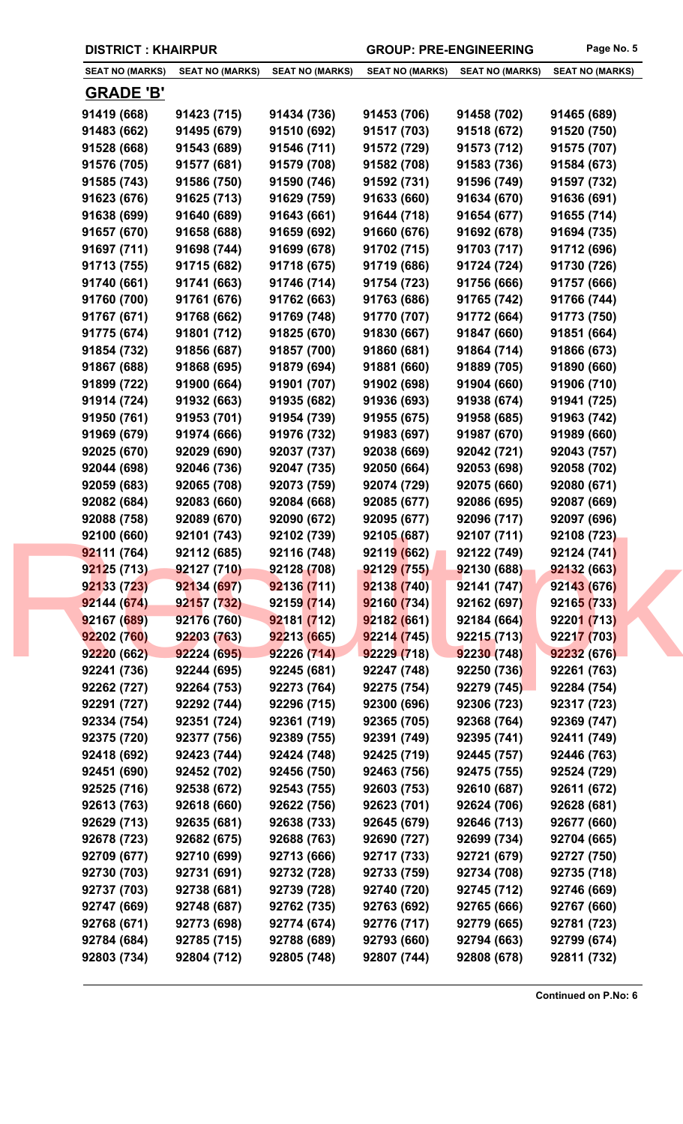| <b>SEAT NO (MARKS)</b> | <b>SEAT NO (MARKS)</b> | <b>SEAT NO (MARKS)</b> | <b>SEAT NO (MARKS)</b> | <b>SEAT NO (MARKS)</b> | <b>SEAT NO (MARKS)</b> |
|------------------------|------------------------|------------------------|------------------------|------------------------|------------------------|
|                        |                        |                        |                        |                        |                        |
| <b>GRADE 'B'</b>       |                        |                        |                        |                        |                        |
| 91419 (668)            | 91423 (715)            | 91434 (736)            | 91453 (706)            | 91458 (702)            | 91465 (689)            |
| 91483 (662)            | 91495 (679)            | 91510 (692)            | 91517 (703)            | 91518 (672)            | 91520 (750)            |
| 91528 (668)            | 91543 (689)            | 91546 (711)            | 91572 (729)            | 91573 (712)            | 91575 (707)            |
| 91576 (705)            | 91577 (681)            | 91579 (708)            | 91582 (708)            | 91583 (736)            | 91584 (673)            |
| 91585 (743)            | 91586 (750)            | 91590 (746)            | 91592 (731)            | 91596 (749)            | 91597 (732)            |
| 91623 (676)            | 91625 (713)            | 91629 (759)            | 91633 (660)            | 91634 (670)            | 91636 (691)            |
| 91638 (699)            | 91640 (689)            | 91643 (661)            | 91644 (718)            | 91654 (677)            | 91655 (714)            |
| 91657 (670)            | 91658 (688)            | 91659 (692)            | 91660 (676)            | 91692 (678)            | 91694 (735)            |
| 91697 (711)            | 91698 (744)            | 91699 (678)            | 91702 (715)            | 91703 (717)            | 91712 (696)            |
| 91713 (755)            | 91715 (682)            | 91718 (675)            | 91719 (686)            | 91724 (724)            | 91730 (726)            |
| 91740 (661)            | 91741 (663)            | 91746 (714)            | 91754 (723)            | 91756 (666)            | 91757 (666)            |
| 91760 (700)            | 91761 (676)            | 91762 (663)            | 91763 (686)            | 91765 (742)            | 91766 (744)            |
| 91767 (671)            | 91768 (662)            | 91769 (748)            | 91770 (707)            | 91772 (664)            | 91773 (750)            |
| 91775 (674)            | 91801 (712)            | 91825 (670)            | 91830 (667)            | 91847 (660)            | 91851 (664)            |
| 91854 (732)            | 91856 (687)            | 91857 (700)            | 91860 (681)            | 91864 (714)            | 91866 (673)            |
| 91867 (688)            | 91868 (695)            | 91879 (694)            | 91881 (660)            | 91889 (705)            | 91890 (660)            |
| 91899 (722)            | 91900 (664)            | 91901 (707)            | 91902 (698)            | 91904 (660)            | 91906 (710)            |
| 91914 (724)            | 91932 (663)            | 91935 (682)            | 91936 (693)            | 91938 (674)            | 91941 (725)            |
| 91950 (761)            | 91953 (701)            | 91954 (739)            | 91955 (675)            | 91958 (685)            | 91963 (742)            |
| 91969 (679)            | 91974 (666)            | 91976 (732)            | 91983 (697)            | 91987 (670)            | 91989 (660)            |
| 92025 (670)            | 92029 (690)            | 92037 (737)            | 92038 (669)            | 92042 (721)            | 92043 (757)            |
| 92044 (698)            | 92046 (736)            | 92047 (735)            | 92050 (664)            | 92053 (698)            | 92058 (702)            |
| 92059 (683)            | 92065 (708)            | 92073 (759)            | 92074 (729)            | 92075 (660)            | 92080 (671)            |
| 92082 (684)            | 92083 (660)            | 92084 (668)            | 92085 (677)            | 92086 (695)            | 92087 (669)            |
| 92088 (758)            | 92089 (670)            | 92090 (672)            | 92095 (677)            | 92096 (717)            | 92097 (696)            |
| 92100 (660)            | 92101 (743)            | 92102 (739)            | 92105 (687)            | 92107 (711)            | 92108 (723)            |
| 92111 (764)            | 92112 (685)            | 92116 (748)            | 92119 (662)            | 92122 (749)            | 92124 (741)            |
| 92125(713)             | 92127 (710)            | 92128 (708)            | 92129 (755)            | 92130 (688)            | 92132 (663)            |
| 92133(723)             | 92134 (697)            | 92136 (711)            | 92138 (740)            | 92141 (747)            | 92143 (676)            |
| 92144 (674)            | 92157 (732)            | 92159 (714)            | 92160(734)             | 92162 (697)            | 92165 (733)            |
| 92167 (689)            | 92176 (760)            | 92181(712)             | 92182(661)             | 92184 (664)            | 92201 (713)            |
| 92202 (760)            | 92203 (763)            | 92213 (665)            | 92214 (745)            | 92215 (713)            | 92217 (703)            |
| 92220 (662)            | 92224 (695)            | 92226(714)             | 92229 (718)            | 92230 (748)            | 92232 (676)            |
| 92241 (736)            | 92244 (695)            | 92245 (681)            | 92247 (748)            | 92250 (736)            | 92261 (763)            |
| 92262 (727)            | 92264 (753)            | 92273 (764)            | 92275 (754)            | 92279 (745)            | 92284 (754)            |
| 92291 (727)            | 92292 (744)            | 92296 (715)            | 92300 (696)            | 92306 (723)            | 92317 (723)            |
| 92334 (754)            | 92351 (724)            | 92361 (719)            | 92365 (705)            | 92368 (764)            | 92369 (747)            |
| 92375 (720)            | 92377 (756)            | 92389 (755)            | 92391 (749)            | 92395 (741)            | 92411 (749)            |
| 92418 (692)            | 92423 (744)            | 92424 (748)            | 92425 (719)            | 92445 (757)            | 92446 (763)            |
| 92451 (690)            | 92452 (702)            | 92456 (750)            | 92463 (756)            | 92475 (755)            | 92524 (729)            |
| 92525 (716)            | 92538 (672)            | 92543 (755)            | 92603 (753)            | 92610 (687)            | 92611 (672)            |
| 92613 (763)            | 92618 (660)            | 92622 (756)            | 92623 (701)            | 92624 (706)            | 92628 (681)            |
| 92629 (713)            | 92635 (681)            | 92638 (733)            | 92645 (679)            | 92646 (713)            | 92677 (660)            |
| 92678 (723)            | 92682 (675)            | 92688 (763)            | 92690 (727)            | 92699 (734)            | 92704 (665)            |
| 92709 (677)            | 92710 (699)            | 92713 (666)            | 92717 (733)            | 92721 (679)            | 92727 (750)            |
| 92730 (703)            | 92731 (691)            | 92732 (728)            | 92733 (759)            | 92734 (708)            | 92735 (718)            |
| 92737 (703)            | 92738 (681)            | 92739 (728)            | 92740 (720)            | 92745 (712)            | 92746 (669)            |
| 92747 (669)            | 92748 (687)            | 92762 (735)            | 92763 (692)            | 92765 (666)            | 92767 (660)            |
| 92768 (671)            | 92773 (698)            | 92774 (674)            | 92776 (717)            | 92779 (665)            | 92781 (723)            |
| 92784 (684)            | 92785 (715)            | 92788 (689)            | 92793 (660)            | 92794 (663)            | 92799 (674)            |
| 92803 (734)            | 92804 (712)            | 92805 (748)            | 92807 (744)            | 92808 (678)            | 92811 (732)            |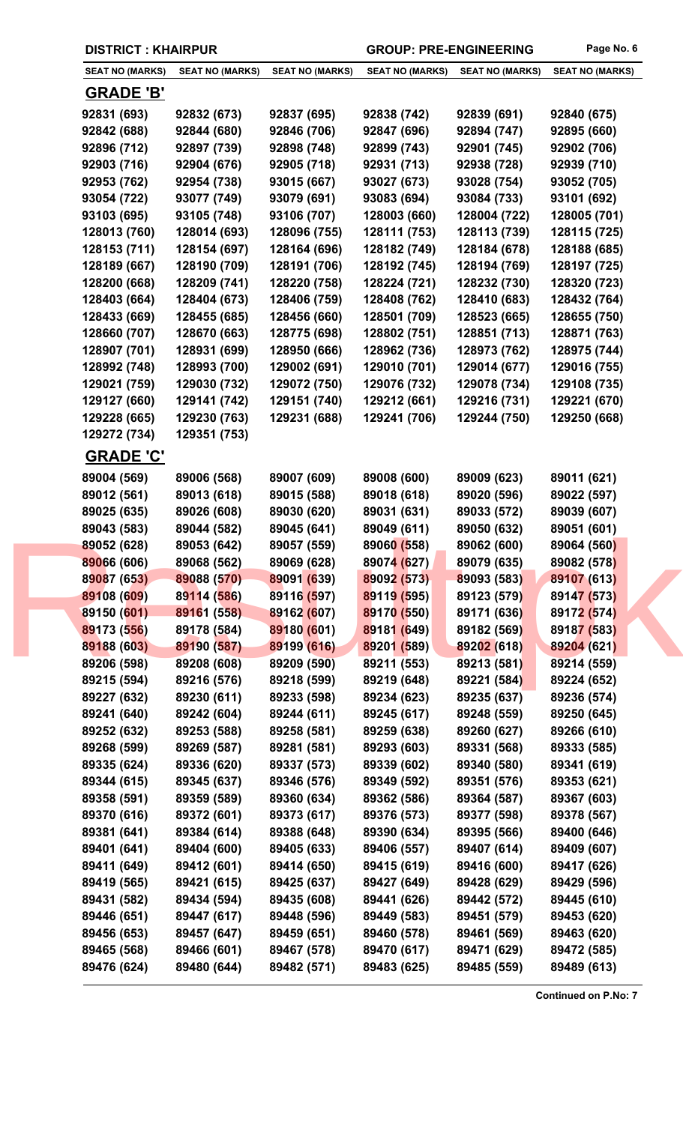| <b>SEAT NO (MARKS)</b>     | <b>SEAT NO (MARKS)</b>     | <b>SEAT NO (MARKS)</b>     | <b>SEAT NO (MARKS)</b>     | <b>SEAT NO (MARKS)</b>     | <b>SEAT NO (MARKS)</b>     |
|----------------------------|----------------------------|----------------------------|----------------------------|----------------------------|----------------------------|
| <b>GRADE 'B'</b>           |                            |                            |                            |                            |                            |
| 92831 (693)                | 92832 (673)                | 92837 (695)                | 92838 (742)                | 92839 (691)                | 92840 (675)                |
| 92842 (688)                | 92844 (680)                | 92846 (706)                | 92847 (696)                | 92894 (747)                | 92895 (660)                |
| 92896 (712)                | 92897 (739)                | 92898 (748)                | 92899 (743)                | 92901 (745)                | 92902 (706)                |
| 92903 (716)                | 92904 (676)                | 92905 (718)                | 92931 (713)                | 92938 (728)                | 92939 (710)                |
| 92953 (762)                | 92954 (738)                | 93015 (667)                | 93027 (673)                | 93028 (754)                | 93052 (705)                |
| 93054 (722)                | 93077 (749)                | 93079 (691)                | 93083 (694)                | 93084 (733)                | 93101 (692)                |
| 93103 (695)                | 93105 (748)                | 93106 (707)                | 128003 (660)               | 128004 (722)               | 128005 (701)               |
| 128013 (760)               | 128014 (693)               | 128096 (755)               | 128111 (753)               | 128113 (739)               | 128115 (725)               |
| 128153 (711)               | 128154 (697)               | 128164 (696)               | 128182 (749)               | 128184 (678)               | 128188 (685)               |
| 128189 (667)               | 128190 (709)               | 128191 (706)               | 128192 (745)               | 128194 (769)               | 128197 (725)               |
| 128200 (668)               | 128209 (741)               | 128220 (758)               | 128224 (721)               | 128232 (730)               | 128320 (723)               |
| 128403 (664)               | 128404 (673)               | 128406 (759)               | 128408 (762)               | 128410 (683)               | 128432 (764)               |
| 128433 (669)               | 128455 (685)               | 128456 (660)               | 128501 (709)               | 128523 (665)               | 128655 (750)               |
| 128660 (707)               | 128670 (663)               | 128775 (698)               | 128802 (751)               | 128851 (713)               | 128871 (763)               |
| 128907 (701)               | 128931 (699)               | 128950 (666)               | 128962 (736)               | 128973 (762)               | 128975 (744)               |
| 128992 (748)               | 128993 (700)               | 129002 (691)               | 129010 (701)               | 129014 (677)               | 129016 (755)               |
| 129021 (759)               | 129030 (732)               | 129072 (750)               | 129076 (732)               | 129078 (734)               | 129108 (735)               |
| 129127 (660)               | 129141 (742)               | 129151 (740)               | 129212 (661)               | 129216 (731)               | 129221 (670)               |
| 129228 (665)               | 129230 (763)               | 129231 (688)               | 129241 (706)               | 129244 (750)               | 129250 (668)               |
| 129272 (734)               | 129351 (753)               |                            |                            |                            |                            |
| <b>GRADE 'C'</b>           |                            |                            |                            |                            |                            |
| 89004 (569)                | 89006 (568)                | 89007 (609)                | 89008 (600)                | 89009 (623)                | 89011 (621)                |
| 89012 (561)                | 89013 (618)                | 89015 (588)                | 89018 (618)                | 89020 (596)                | 89022 (597)                |
| 89025 (635)                | 89026 (608)                | 89030 (620)                | 89031 (631)                | 89033 (572)                | 89039 (607)                |
| 89043 (583)                | 89044 (582)                | 89045 (641)                | 89049 (611)                | 89050 (632)                | 89051 (601)                |
| 89052 (628)                | 89053 (642)                | 89057 (559)                | 89060 (558)                | 89062 (600)                | 89064 (560)                |
| 89066 (606)                | 89068 (562)                | 89069 (628)                | 89074 (627)                | 89079 (635)                | 89082 (578)                |
| 89087 (653)                | 89088 (570)                | 89091 (639)                | 89092 (573)                | 89093 (583)                | 89107 (613)                |
| 89108 (609)                | 89114 (586)                | 89116 (597)                | 89119 (595)                | 89123 (579)                | 89147 (573)                |
| 89150 (601)                | 89161 (558)                | 89162 (607)                | 89170 (550)                | 89171 (636)                | 89172 (574)                |
| 89173 (556)                | 89178 (584)                | 89180 (601)                | 89181 (649)                | 89182 (569)                | 89187 (583)                |
| 89188 (603)                | 89190 (587)                | 89199 (616)                | 89201 (589)                | 89202 (618)                | 89204 (621)                |
| 89206 (598)                | 89208 (608)                | 89209 (590)                | 89211 (553)                | 89213 (581)                | 89214 (559)                |
| 89215 (594)                | 89216 (576)                | 89218 (599)                | 89219 (648)                | 89221 (584)                | 89224 (652)                |
| 89227 (632)                | 89230 (611)                | 89233 (598)                | 89234 (623)                | 89235 (637)                | 89236 (574)                |
| 89241 (640)                | 89242 (604)                | 89244 (611)                | 89245 (617)                | 89248 (559)                | 89250 (645)                |
| 89252 (632)                | 89253 (588)                | 89258 (581)                | 89259 (638)                | 89260 (627)                | 89266 (610)                |
| 89268 (599)                | 89269 (587)                | 89281 (581)                | 89293 (603)                | 89331 (568)                | 89333 (585)                |
| 89335 (624)                | 89336 (620)                | 89337 (573)                | 89339 (602)                | 89340 (580)                | 89341 (619)                |
| 89344 (615)                | 89345 (637)                | 89346 (576)                | 89349 (592)                | 89351 (576)                | 89353 (621)                |
| 89358 (591)                | 89359 (589)                | 89360 (634)                | 89362 (586)                | 89364 (587)                | 89367 (603)                |
| 89370 (616)                | 89372 (601)                | 89373 (617)                | 89376 (573)                | 89377 (598)                | 89378 (567)                |
| 89381 (641)                | 89384 (614)                | 89388 (648)                | 89390 (634)                | 89395 (566)                | 89400 (646)                |
| 89401 (641)                | 89404 (600)                | 89405 (633)                | 89406 (557)                | 89407 (614)                | 89409 (607)                |
| 89411 (649)                | 89412 (601)                | 89414 (650)                | 89415 (619)                | 89416 (600)                | 89417 (626)                |
| 89419 (565)                | 89421 (615)                | 89425 (637)                | 89427 (649)                | 89428 (629)                | 89429 (596)                |
| 89431 (582)                | 89434 (594)                | 89435 (608)                | 89441 (626)                | 89442 (572)                | 89445 (610)                |
|                            |                            |                            | 89449 (583)                | 89451 (579)                | 89453 (620)                |
|                            |                            |                            |                            |                            |                            |
| 89446 (651)                | 89447 (617)                | 89448 (596)                |                            |                            |                            |
| 89456 (653)<br>89465 (568) | 89457 (647)<br>89466 (601) | 89459 (651)<br>89467 (578) | 89460 (578)<br>89470 (617) | 89461 (569)<br>89471 (629) | 89463 (620)<br>89472 (585) |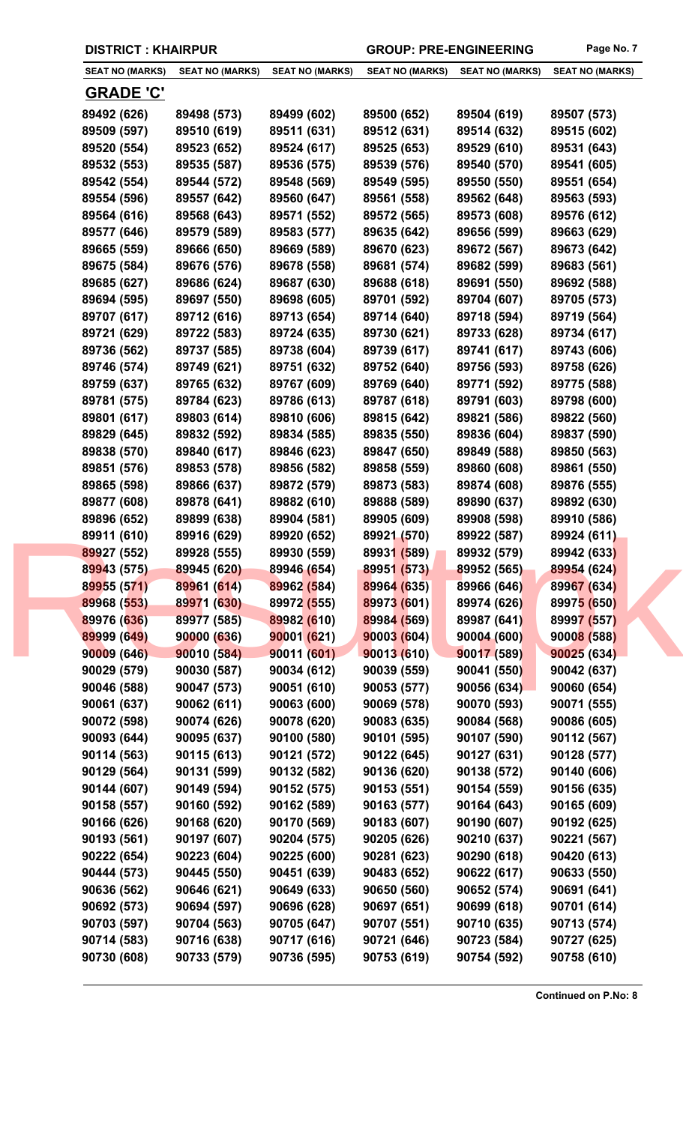| <b>SEAT NO (MARKS)</b> | <b>SEAT NO (MARKS)</b> | <b>SEAT NO (MARKS)</b> | <b>SEAT NO (MARKS)</b> | <b>SEAT NO (MARKS)</b> | <b>SEAT NO (MARKS)</b> |
|------------------------|------------------------|------------------------|------------------------|------------------------|------------------------|
| <b>GRADE 'C'</b>       |                        |                        |                        |                        |                        |
| 89492 (626)            | 89498 (573)            | 89499 (602)            | 89500 (652)            | 89504 (619)            |                        |
|                        |                        | 89511 (631)            |                        | 89514 (632)            | 89507 (573)            |
| 89509 (597)            | 89510 (619)            |                        | 89512 (631)            |                        | 89515 (602)            |
| 89520 (554)            | 89523 (652)            | 89524 (617)            | 89525 (653)            | 89529 (610)            | 89531 (643)            |
| 89532 (553)            | 89535 (587)            | 89536 (575)            | 89539 (576)            | 89540 (570)            | 89541 (605)            |
| 89542 (554)            | 89544 (572)            | 89548 (569)            | 89549 (595)            | 89550 (550)            | 89551 (654)            |
| 89554 (596)            | 89557 (642)            | 89560 (647)            | 89561 (558)            | 89562 (648)            | 89563 (593)            |
| 89564 (616)            | 89568 (643)            | 89571 (552)            | 89572 (565)            | 89573 (608)            | 89576 (612)            |
| 89577 (646)            | 89579 (589)            | 89583 (577)            | 89635 (642)            | 89656 (599)            | 89663 (629)            |
| 89665 (559)            | 89666 (650)            | 89669 (589)            | 89670 (623)            | 89672 (567)            | 89673 (642)            |
| 89675 (584)            | 89676 (576)            | 89678 (558)            | 89681 (574)            | 89682 (599)            | 89683 (561)            |
| 89685 (627)            | 89686 (624)            | 89687 (630)            | 89688 (618)            | 89691 (550)            | 89692 (588)            |
| 89694 (595)            | 89697 (550)            | 89698 (605)            | 89701 (592)            | 89704 (607)            | 89705 (573)            |
| 89707 (617)            | 89712 (616)            | 89713 (654)            | 89714 (640)            | 89718 (594)            | 89719 (564)            |
| 89721 (629)            | 89722 (583)            | 89724 (635)            | 89730 (621)            | 89733 (628)            | 89734 (617)            |
| 89736 (562)            | 89737 (585)            | 89738 (604)            | 89739 (617)            | 89741 (617)            | 89743 (606)            |
| 89746 (574)            | 89749 (621)            | 89751 (632)            | 89752 (640)            | 89756 (593)            | 89758 (626)            |
| 89759 (637)            | 89765 (632)            | 89767 (609)            | 89769 (640)            | 89771 (592)            | 89775 (588)            |
| 89781 (575)            | 89784 (623)            | 89786 (613)            | 89787 (618)            | 89791 (603)            | 89798 (600)            |
| 89801 (617)            | 89803 (614)            | 89810 (606)            | 89815 (642)            | 89821 (586)            | 89822 (560)            |
| 89829 (645)            | 89832 (592)            | 89834 (585)            | 89835 (550)            | 89836 (604)            | 89837 (590)            |
| 89838 (570)            | 89840 (617)            | 89846 (623)            | 89847 (650)            | 89849 (588)            | 89850 (563)            |
| 89851 (576)            | 89853 (578)            | 89856 (582)            | 89858 (559)            | 89860 (608)            | 89861 (550)            |
| 89865 (598)            | 89866 (637)            | 89872 (579)            | 89873 (583)            | 89874 (608)            | 89876 (555)            |
| 89877 (608)            | 89878 (641)            | 89882 (610)            | 89888 (589)            | 89890 (637)            | 89892 (630)            |
| 89896 (652)            | 89899 (638)            | 89904 (581)            | 89905 (609)            | 89908 (598)            | 89910 (586)            |
| 89911 (610)            | 89916 (629)            | 89920 (652)            | 89921 (570)            | 89922 (587)            | 89924 (611)            |
| 89927 (552)            | 89928 (555)            | 89930 (559)            | 89931 (589)            | 89932 (579)            | 89942 (633)            |
| 89943 (575)            | 89945 (620)            | 89946 (654)            | 89951 (573)            | 89952 (565)            | 89954 (624)            |
| 89955 (571)            | 89961 (614)            | 89962 (584)            | 89964 (635)            | 89966 (646)            | 89967 (634)            |
| 89968 (553)            | 89971 (630)            | 89972 (555)            | 89973 (601)            | 89974 (626)            | 89975 (650)            |
| 89976 (636)            | 89977 (585)            | 89982 (610)            | 89984 (569)            | 89987 (641)            | 89997 (557)            |
| 89999 (649)            | 90000 (636)            | 90001(621)             | 90003(604)             | 90004(600)             | 90008 (588)            |
| 90009 (646)            | 90010(584)             | 90011(601)             | 90013(610)             | 90017 (589)            | 90025(634)             |
| 90029 (579)            | 90030 (587)            | 90034 (612)            | 90039 (559)            | 90041 (550)            | 90042 (637)            |
| 90046 (588)            | 90047 (573)            | 90051 (610)            | 90053 (577)            | 90056 (634)            | 90060 (654)            |
| 90061 (637)            | 90062 (611)            | 90063 (600)            | 90069 (578)            | 90070 (593)            | 90071 (555)            |
| 90072 (598)            | 90074 (626)            | 90078 (620)            | 90083 (635)            | 90084 (568)            | 90086 (605)            |
|                        |                        |                        |                        |                        |                        |
| 90093 (644)            | 90095 (637)            | 90100 (580)            | 90101 (595)            | 90107 (590)            | 90112 (567)            |
| 90114 (563)            | 90115 (613)            | 90121 (572)            | 90122 (645)            | 90127 (631)            | 90128 (577)            |
| 90129 (564)            | 90131 (599)            | 90132 (582)            | 90136 (620)            | 90138 (572)            | 90140 (606)            |
| 90144 (607)            | 90149 (594)            | 90152 (575)            | 90153 (551)            | 90154 (559)            | 90156 (635)            |
| 90158 (557)            | 90160 (592)            | 90162 (589)            | 90163 (577)            | 90164 (643)            | 90165 (609)            |
| 90166 (626)            | 90168 (620)            | 90170 (569)            | 90183 (607)            | 90190 (607)            | 90192 (625)            |
| 90193 (561)            | 90197 (607)            | 90204 (575)            | 90205 (626)            | 90210 (637)            | 90221 (567)            |
| 90222 (654)            | 90223 (604)            | 90225 (600)            | 90281 (623)            | 90290 (618)            | 90420 (613)            |
| 90444 (573)            | 90445 (550)            | 90451 (639)            | 90483 (652)            | 90622 (617)            | 90633 (550)            |
| 90636 (562)            | 90646 (621)            | 90649 (633)            | 90650 (560)            | 90652 (574)            | 90691 (641)            |
| 90692 (573)            | 90694 (597)            | 90696 (628)            | 90697 (651)            | 90699 (618)            | 90701 (614)            |
| 90703 (597)            | 90704 (563)            | 90705 (647)            | 90707 (551)            | 90710 (635)            | 90713 (574)            |
| 90714 (583)            | 90716 (638)            | 90717 (616)            | 90721 (646)            | 90723 (584)            | 90727 (625)            |
| 90730 (608)            | 90733 (579)            | 90736 (595)            | 90753 (619)            | 90754 (592)            | 90758 (610)            |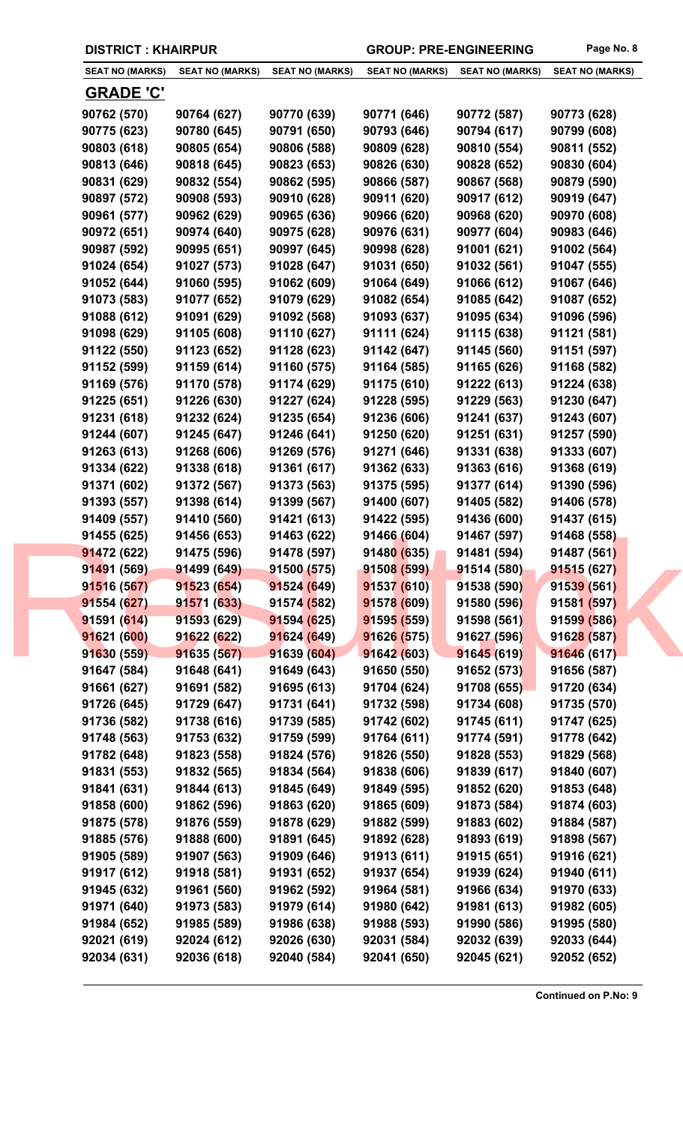| <b>SEAT NO (MARKS)</b> | <b>SEAT NO (MARKS)</b> | <b>SEAT NO (MARKS)</b> | <b>SEAT NO (MARKS)</b> | <b>SEAT NO (MARKS)</b> | <b>SEAT NO (MARKS)</b> |
|------------------------|------------------------|------------------------|------------------------|------------------------|------------------------|
|                        |                        |                        |                        |                        |                        |
| <u>GRADE 'C'</u>       |                        |                        |                        |                        |                        |
| 90762 (570)            | 90764 (627)            | 90770 (639)            | 90771 (646)            | 90772 (587)            | 90773 (628)            |
| 90775 (623)            | 90780 (645)            | 90791 (650)            | 90793 (646)            | 90794 (617)            | 90799 (608)            |
| 90803 (618)            | 90805 (654)            | 90806 (588)            | 90809 (628)            | 90810 (554)            | 90811 (552)            |
| 90813 (646)            | 90818 (645)            | 90823 (653)            | 90826 (630)            | 90828 (652)            | 90830 (604)            |
| 90831 (629)            | 90832 (554)            | 90862 (595)            | 90866 (587)            | 90867 (568)            | 90879 (590)            |
| 90897 (572)            | 90908 (593)            | 90910 (628)            | 90911 (620)            | 90917 (612)            | 90919 (647)            |
| 90961 (577)            | 90962 (629)            | 90965 (636)            | 90966 (620)            | 90968 (620)            | 90970 (608)            |
| 90972 (651)            | 90974 (640)            | 90975 (628)            | 90976 (631)            | 90977 (604)            | 90983 (646)            |
| 90987 (592)            | 90995 (651)            | 90997 (645)            | 90998 (628)            | 91001 (621)            | 91002 (564)            |
| 91024 (654)            | 91027 (573)            | 91028 (647)            | 91031 (650)            | 91032 (561)            | 91047 (555)            |
| 91052 (644)            | 91060 (595)            | 91062 (609)            | 91064 (649)            | 91066 (612)            | 91067 (646)            |
| 91073 (583)            | 91077 (652)            | 91079 (629)            | 91082 (654)            | 91085 (642)            | 91087 (652)            |
| 91088 (612)            | 91091 (629)            | 91092 (568)            | 91093 (637)            | 91095 (634)            | 91096 (596)            |
| 91098 (629)            | 91105 (608)            | 91110 (627)            | 91111 (624)            | 91115 (638)            | 91121 (581)            |
| 91122 (550)            | 91123 (652)            | 91128 (623)            | 91142 (647)            | 91145 (560)            | 91151 (597)            |
| 91152 (599)            | 91159 (614)            | 91160 (575)            | 91164 (585)            | 91165 (626)            | 91168 (582)            |
| 91169 (576)            | 91170 (578)            | 91174 (629)            | 91175 (610)            | 91222 (613)            | 91224 (638)            |
| 91225 (651)            | 91226 (630)            | 91227 (624)            | 91228 (595)            | 91229 (563)            | 91230 (647)            |
| 91231 (618)            | 91232 (624)            | 91235 (654)            | 91236 (606)            | 91241 (637)            | 91243 (607)            |
| 91244 (607)            | 91245 (647)            | 91246 (641)            | 91250 (620)            | 91251 (631)            | 91257 (590)            |
|                        |                        |                        |                        |                        |                        |
| 91263 (613)            | 91268 (606)            | 91269 (576)            | 91271 (646)            | 91331 (638)            | 91333 (607)            |
| 91334 (622)            | 91338 (618)            | 91361 (617)            | 91362 (633)            | 91363 (616)            | 91368 (619)            |
| 91371 (602)            | 91372 (567)            | 91373 (563)            | 91375 (595)            | 91377 (614)            | 91390 (596)            |
| 91393 (557)            | 91398 (614)            | 91399 (567)            | 91400 (607)            | 91405 (582)            | 91406 (578)            |
| 91409 (557)            | 91410 (560)            | 91421 (613)            | 91422 (595)            | 91436 (600)            | 91437 (615)            |
| 91455 (625)            | 91456 (653)            | 91463 (622)            | 91466 (604)            | 91467 (597)            | 91468 (558)            |
| 91472 (622)            | 91475 (596)            | 91478 (597)            | 91480 (635)            | 91481 (594)            | 91487 (561)            |
| 91491 (569)            | 91499 (649)            | 91500 (575)            | 91508 (599)            | 91514 (580)            | 91515 (627)            |
| 91516 (567)            | 91523 (654)            | 91524 (649)            | 91537 (610)            | 91538 (590)            | 91539 (561)            |
| 91554 (627)            | 91571 (633)            | 91574 (582)            | 91578 (609)            | 91580 (596)            | 91581 (597)            |
| 91591 (614)            | 91593 (629)            | 91594 (625)            | 91595 (559)            | 91598 (561)            | 91599 (586)            |
| 91621 (600)            | 91622 (622)            | 91624 (649)            | 91626 (575)            | 91627 (596)            | 91628 (587)            |
| 91630 (559)            | 91635 (567)            | 91639 (604)            | 91642 (603)            | 91645 (619)            | 91646 (617)            |
| 91647 (584)            | 91648 (641)            | 91649 (643)            | 91650 (550)            | 91652(573)             | 91656 (587)            |
| 91661 (627)            | 91691 (582)            | 91695 (613)            | 91704 (624)            | 91708 (655)            | 91720 (634)            |
| 91726 (645)            | 91729 (647)            | 91731 (641)            | 91732 (598)            | 91734 (608)            | 91735 (570)            |
| 91736 (582)            | 91738 (616)            | 91739 (585)            | 91742 (602)            | 91745 (611)            | 91747 (625)            |
| 91748 (563)            | 91753 (632)            | 91759 (599)            | 91764 (611)            | 91774 (591)            | 91778 (642)            |
| 91782 (648)            | 91823 (558)            | 91824 (576)            | 91826 (550)            | 91828 (553)            | 91829 (568)            |
| 91831 (553)            | 91832 (565)            | 91834 (564)            | 91838 (606)            | 91839 (617)            | 91840 (607)            |
| 91841 (631)            | 91844 (613)            | 91845 (649)            | 91849 (595)            | 91852 (620)            | 91853 (648)            |
| 91858 (600)            | 91862 (596)            | 91863 (620)            | 91865 (609)            | 91873 (584)            | 91874 (603)            |
| 91875 (578)            | 91876 (559)            | 91878 (629)            | 91882 (599)            | 91883 (602)            | 91884 (587)            |
| 91885 (576)            | 91888 (600)            | 91891 (645)            | 91892 (628)            | 91893 (619)            | 91898 (567)            |
| 91905 (589)            | 91907 (563)            | 91909 (646)            | 91913 (611)            | 91915 (651)            | 91916 (621)            |
| 91917 (612)            | 91918 (581)            | 91931 (652)            | 91937 (654)            | 91939 (624)            | 91940 (611)            |
| 91945 (632)            | 91961 (560)            | 91962 (592)            | 91964 (581)            | 91966 (634)            | 91970 (633)            |
| 91971 (640)            | 91973 (583)            | 91979 (614)            | 91980 (642)            | 91981 (613)            | 91982 (605)            |
| 91984 (652)            | 91985 (589)            | 91986 (638)            | 91988 (593)            | 91990 (586)            | 91995 (580)            |
| 92021 (619)            | 92024 (612)            | 92026 (630)            | 92031 (584)            | 92032 (639)            | 92033 (644)            |
|                        |                        |                        |                        |                        |                        |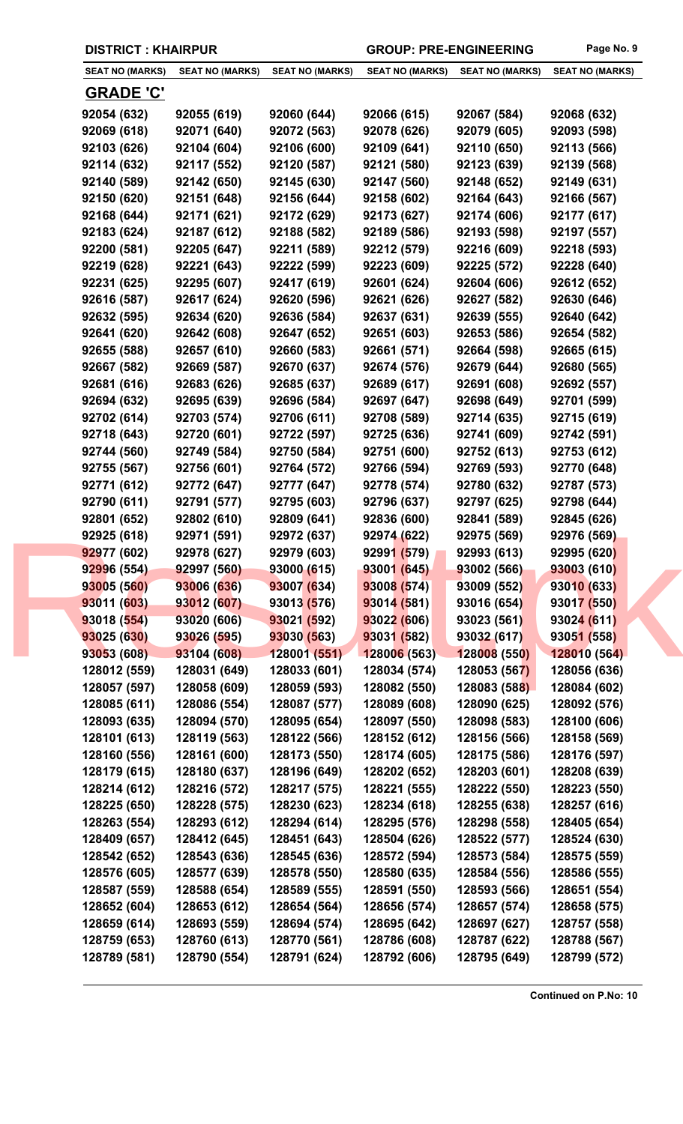| <b>SEAT NO (MARKS)</b> | <b>SEAT NO (MARKS)</b> | <b>SEAT NO (MARKS)</b> | <b>SEAT NO (MARKS)</b> | <b>SEAT NO (MARKS)</b> | <b>SEAT NO (MARKS)</b> |
|------------------------|------------------------|------------------------|------------------------|------------------------|------------------------|
| <u>GRADE 'C'</u>       |                        |                        |                        |                        |                        |
| 92054 (632)            | 92055 (619)            | 92060 (644)            | 92066 (615)            | 92067 (584)            | 92068 (632)            |
| 92069 (618)            | 92071 (640)            | 92072 (563)            | 92078 (626)            | 92079 (605)            | 92093 (598)            |
| 92103 (626)            | 92104 (604)            | 92106 (600)            | 92109 (641)            | 92110 (650)            |                        |
|                        |                        |                        |                        |                        | 92113 (566)            |
| 92114 (632)            | 92117 (552)            | 92120 (587)            | 92121 (580)            | 92123 (639)            | 92139 (568)            |
| 92140 (589)            | 92142 (650)            | 92145 (630)            | 92147 (560)            | 92148 (652)            | 92149 (631)            |
| 92150 (620)            | 92151 (648)            | 92156 (644)            | 92158 (602)            | 92164 (643)            | 92166 (567)            |
| 92168 (644)            | 92171 (621)            | 92172 (629)            | 92173 (627)            | 92174 (606)            | 92177 (617)            |
| 92183 (624)            | 92187 (612)            | 92188 (582)            | 92189 (586)            | 92193 (598)            | 92197 (557)            |
| 92200 (581)            | 92205 (647)            | 92211 (589)            | 92212 (579)            | 92216 (609)            | 92218 (593)            |
| 92219 (628)            | 92221 (643)            | 92222 (599)            | 92223 (609)            | 92225 (572)            | 92228 (640)            |
| 92231 (625)            | 92295 (607)            | 92417 (619)            | 92601 (624)            | 92604 (606)            | 92612 (652)            |
| 92616 (587)            | 92617 (624)            | 92620 (596)            | 92621 (626)            | 92627 (582)            | 92630 (646)            |
| 92632 (595)            | 92634 (620)            | 92636 (584)            | 92637 (631)            | 92639 (555)            | 92640 (642)            |
| 92641 (620)            | 92642 (608)            | 92647 (652)            | 92651 (603)            | 92653 (586)            | 92654 (582)            |
| 92655 (588)            | 92657 (610)            | 92660 (583)            | 92661 (571)            | 92664 (598)            | 92665 (615)            |
| 92667 (582)            | 92669 (587)            | 92670 (637)            | 92674 (576)            | 92679 (644)            | 92680 (565)            |
| 92681 (616)            | 92683 (626)            | 92685 (637)            | 92689 (617)            | 92691 (608)            | 92692 (557)            |
| 92694 (632)            | 92695 (639)            | 92696 (584)            | 92697 (647)            | 92698 (649)            | 92701 (599)            |
| 92702 (614)            | 92703 (574)            | 92706 (611)            | 92708 (589)            | 92714 (635)            | 92715 (619)            |
| 92718 (643)            | 92720 (601)            | 92722 (597)            | 92725 (636)            | 92741 (609)            | 92742 (591)            |
| 92744 (560)            | 92749 (584)            | 92750 (584)            | 92751 (600)            | 92752 (613)            |                        |
|                        |                        |                        |                        |                        | 92753 (612)            |
| 92755 (567)            | 92756 (601)            | 92764 (572)            | 92766 (594)            | 92769 (593)            | 92770 (648)            |
| 92771 (612)            | 92772 (647)            | 92777 (647)            | 92778 (574)            | 92780 (632)            | 92787 (573)            |
| 92790 (611)            | 92791 (577)            | 92795 (603)            | 92796 (637)            | 92797 (625)            | 92798 (644)            |
| 92801 (652)            | 92802 (610)            | 92809 (641)            | 92836 (600)            | 92841 (589)            | 92845 (626)            |
| 92925 (618)            | 92971 (591)            | 92972 (637)            | 92974 (622)            | 92975 (569)            | 92976 (569)            |
| 92977 (602)            | 92978 (627)            | 92979 (603)            | 92991 (579)            | 92993 (613)            | 92995 (620)            |
| 92996 (554)            | 92997 (560)            | 93000 (615)            | 93001 (645)            | 93002 (566)            | 93003 (610)            |
| 93005 (560)            | 93006 (636)            | 93007 (634)            | 93008 (574)            | 93009 (552)            | 93010 (633)            |
| 93011 (603)            | 93012 (607)            | 93013 (576)            | 93014 (581)            | 93016 (654)            | 93017 (550)            |
| 93018 (554)            | 93020 (606)            | 93021 (592)            | 93022 (606)            | 93023 (561)            | 93024 (611)            |
| 93025 (630)            | 93026 (595)            | 93030 (563)            | 93031 (582)            | 93032 (617)            | 93051 (558)            |
| 93053 (608)            | 93104 (608)            | 128001(551)            | 128006 (563)           | 128008 (550)           | 128010 (564)           |
| 128012 (559)           | 128031 (649)           | 128033 (601)           | 128034 (574)           | 128053 (567)           | 128056 (636)           |
| 128057 (597)           | 128058 (609)           | 128059 (593)           | 128082 (550)           | 128083 (588)           | 128084 (602)           |
| 128085 (611)           | 128086 (554)           | 128087 (577)           | 128089 (608)           | 128090 (625)           | 128092 (576)           |
| 128093 (635)           | 128094 (570)           | 128095 (654)           | 128097 (550)           | 128098 (583)           | 128100 (606)           |
| 128101 (613)           | 128119 (563)           | 128122 (566)           | 128152 (612)           | 128156 (566)           | 128158 (569)           |
| 128160 (556)           | 128161 (600)           | 128173 (550)           | 128174 (605)           | 128175 (586)           | 128176 (597)           |
| 128179 (615)           | 128180 (637)           | 128196 (649)           | 128202 (652)           | 128203 (601)           | 128208 (639)           |
| 128214 (612)           | 128216 (572)           | 128217 (575)           | 128221 (555)           | 128222 (550)           | 128223 (550)           |
| 128225 (650)           | 128228 (575)           | 128230 (623)           | 128234 (618)           | 128255 (638)           | 128257 (616)           |
| 128263 (554)           | 128293 (612)           | 128294 (614)           | 128295 (576)           | 128298 (558)           | 128405 (654)           |
|                        |                        |                        |                        |                        |                        |
| 128409 (657)           | 128412 (645)           | 128451 (643)           | 128504 (626)           | 128522 (577)           | 128524 (630)           |
| 128542 (652)           | 128543 (636)           | 128545 (636)           | 128572 (594)           | 128573 (584)           | 128575 (559)           |
| 128576 (605)           | 128577 (639)           | 128578 (550)           | 128580 (635)           | 128584 (556)           | 128586 (555)           |
| 128587 (559)           | 128588 (654)           | 128589 (555)           | 128591 (550)           | 128593 (566)           | 128651 (554)           |
| 128652 (604)           | 128653 (612)           | 128654 (564)           | 128656 (574)           | 128657 (574)           | 128658 (575)           |
| 128659 (614)           | 128693 (559)           | 128694 (574)           | 128695 (642)           | 128697 (627)           | 128757 (558)           |
| 128759 (653)           | 128760 (613)           | 128770 (561)           | 128786 (608)           | 128787 (622)           | 128788 (567)           |
| 128789 (581)           | 128790 (554)           | 128791 (624)           | 128792 (606)           | 128795 (649)           | 128799 (572)           |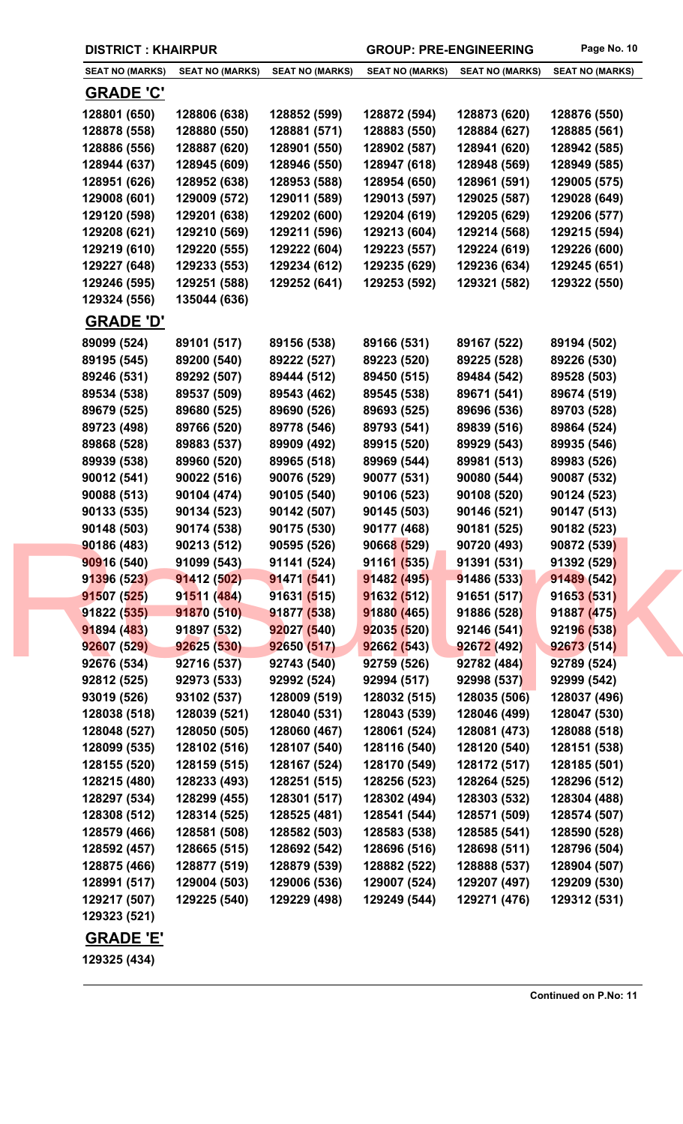| <b>SEAT NO (MARKS)</b> | <b>SEAT NO (MARKS)</b> | <b>SEAT NO (MARKS)</b> | <b>SEAT NO (MARKS)</b> | <b>SEAT NO (MARKS)</b> | <b>SEAT NO (MARKS)</b> |
|------------------------|------------------------|------------------------|------------------------|------------------------|------------------------|
| <b>GRADE 'C'</b>       |                        |                        |                        |                        |                        |
| 128801 (650)           | 128806 (638)           | 128852 (599)           | 128872 (594)           | 128873 (620)           | 128876 (550)           |
| 128878 (558)           | 128880 (550)           | 128881 (571)           | 128883 (550)           | 128884 (627)           | 128885 (561)           |
| 128886 (556)           | 128887 (620)           | 128901 (550)           | 128902 (587)           | 128941 (620)           | 128942 (585)           |
| 128944 (637)           | 128945 (609)           | 128946 (550)           | 128947 (618)           | 128948 (569)           | 128949 (585)           |
| 128951 (626)           | 128952 (638)           | 128953 (588)           | 128954 (650)           | 128961 (591)           | 129005 (575)           |
| 129008 (601)           | 129009 (572)           | 129011 (589)           | 129013 (597)           | 129025 (587)           | 129028 (649)           |
| 129120 (598)           | 129201 (638)           | 129202 (600)           | 129204 (619)           | 129205 (629)           | 129206 (577)           |
| 129208 (621)           | 129210 (569)           | 129211 (596)           | 129213 (604)           | 129214 (568)           | 129215 (594)           |
| 129219 (610)           | 129220 (555)           | 129222 (604)           | 129223 (557)           | 129224 (619)           | 129226 (600)           |
| 129227 (648)           | 129233 (553)           | 129234 (612)           | 129235 (629)           | 129236 (634)           | 129245 (651)           |
| 129246 (595)           | 129251 (588)           | 129252 (641)           | 129253 (592)           | 129321 (582)           | 129322 (550)           |
| 129324 (556)           | 135044 (636)           |                        |                        |                        |                        |
|                        |                        |                        |                        |                        |                        |
| <b>GRADE 'D'</b>       |                        |                        |                        |                        |                        |
| 89099 (524)            | 89101 (517)            | 89156 (538)            | 89166 (531)            | 89167 (522)            | 89194 (502)            |
| 89195 (545)            | 89200 (540)            | 89222 (527)            | 89223 (520)            | 89225 (528)            | 89226 (530)            |
| 89246 (531)            | 89292 (507)            | 89444 (512)            | 89450 (515)            | 89484 (542)            | 89528 (503)            |
| 89534 (538)            | 89537 (509)            | 89543 (462)            | 89545 (538)            | 89671 (541)            | 89674 (519)            |
| 89679 (525)            | 89680 (525)            | 89690 (526)            | 89693 (525)            | 89696 (536)            | 89703 (528)            |
| 89723 (498)            | 89766 (520)            | 89778 (546)            | 89793 (541)            | 89839 (516)            | 89864 (524)            |
| 89868 (528)            | 89883 (537)            | 89909 (492)            | 89915 (520)            | 89929 (543)            | 89935 (546)            |
| 89939 (538)            | 89960 (520)            | 89965 (518)            | 89969 (544)            | 89981 (513)            | 89983 (526)            |
| 90012 (541)            | 90022 (516)            | 90076 (529)            | 90077 (531)            | 90080 (544)            | 90087 (532)            |
| 90088 (513)            | 90104 (474)            | 90105 (540)            | 90106 (523)            | 90108 (520)            | 90124 (523)            |
| 90133 (535)            | 90134 (523)            | 90142 (507)            | 90145 (503)            | 90146 (521)            | 90147 (513)            |
| 90148 (503)            | 90174 (538)            | 90175 (530)            | 90177 (468)            | 90181 (525)            | 90182 (523)            |
| 90186 (483)            | 90213 (512)            | 90595 (526)            | 90668 (529)            | 90720 (493)            | 90872 (539)            |
| 90916 (540)            | 91099 (543)            | 91141 (524)            | 91161 (535)            | 91391 (531)            | 91392 (529)            |
| 91396 (523)            | 91412 (502)            | 91471 (541)            | 91482 (495)            | 91486 (533)            | 91489 (542)            |
| 91507 (525)            | 91511 (484)            | 91631(515)             | 91632(512)             | 91651 (517)            | 91653 (531)            |
| 91822 (535)            | 91870 (510)            | 91877 (538)            | 91880 (465)            | 91886 (528)            | 91887 (475)            |
| 91894 (483)            | 91897 (532)            | 92027 (540)            | 92035(520)             | 92146 (541)            | 92196 (538)            |
| 92607 (529)            | 92625 (530)            | 92650 (517)            | 92662 (543)            | 92672 (492)            | 92673(514)             |
| 92676 (534)            | 92716 (537)            | 92743 (540)            | 92759 (526)            | 92782 (484)            | 92789 (524)            |
| 92812 (525)            | 92973 (533)            | 92992 (524)            | 92994 (517)            | 92998 (537)            | 92999 (542)            |
| 93019 (526)            | 93102 (537)            | 128009 (519)           | 128032 (515)           | 128035 (506)           | 128037 (496)           |
| 128038 (518)           | 128039 (521)           | 128040 (531)           | 128043 (539)           | 128046 (499)           | 128047 (530)           |
| 128048 (527)           | 128050 (505)           | 128060 (467)           | 128061 (524)           | 128081 (473)           | 128088 (518)           |
| 128099 (535)           | 128102 (516)           | 128107 (540)           | 128116 (540)           | 128120 (540)           | 128151 (538)           |
| 128155 (520)           | 128159 (515)           | 128167 (524)           | 128170 (549)           | 128172 (517)           | 128185 (501)           |
| 128215 (480)           | 128233 (493)           | 128251 (515)           | 128256 (523)           | 128264 (525)           | 128296 (512)           |
| 128297 (534)           | 128299 (455)           | 128301 (517)           | 128302 (494)           | 128303 (532)           | 128304 (488)           |
| 128308 (512)           | 128314 (525)           | 128525 (481)           | 128541 (544)           | 128571 (509)           | 128574 (507)           |
| 128579 (466)           | 128581 (508)           | 128582 (503)           | 128583 (538)           | 128585 (541)           | 128590 (528)           |
| 128592 (457)           | 128665 (515)           | 128692 (542)           | 128696 (516)           | 128698 (511)           | 128796 (504)           |
| 128875 (466)           | 128877 (519)           | 128879 (539)           | 128882 (522)           | 128888 (537)           | 128904 (507)           |
| 128991 (517)           | 129004 (503)           | 129006 (536)           | 129007 (524)           | 129207 (497)           | 129209 (530)           |
| 129217 (507)           | 129225 (540)           | 129229 (498)           | 129249 (544)           | 129271 (476)           | 129312 (531)           |
| 129323 (521)           |                        |                        |                        |                        |                        |

## **GRADE 'E'**

**129325 (434)**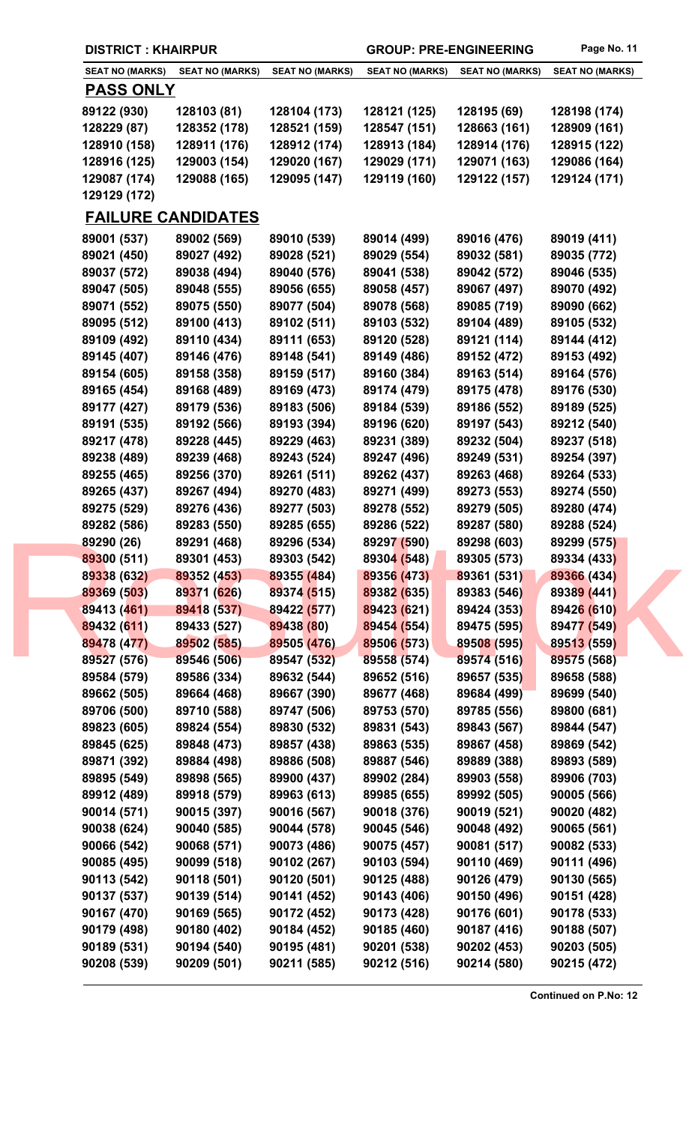|  | <b>DISTRICT: KHAIRPUR</b> |                           |                        | <b>GROUP: PRE-ENGINEERING</b> |                        | Page No. 11            |
|--|---------------------------|---------------------------|------------------------|-------------------------------|------------------------|------------------------|
|  | <b>SEAT NO (MARKS)</b>    | <b>SEAT NO (MARKS)</b>    | <b>SEAT NO (MARKS)</b> | <b>SEAT NO (MARKS)</b>        | <b>SEAT NO (MARKS)</b> | <b>SEAT NO (MARKS)</b> |
|  | <b>PASS ONLY</b>          |                           |                        |                               |                        |                        |
|  | 89122 (930)               | 128103 (81)               | 128104 (173)           | 128121 (125)                  | 128195 (69)            | 128198 (174)           |
|  | 128229 (87)               | 128352 (178)              | 128521 (159)           | 128547 (151)                  | 128663 (161)           | 128909 (161)           |
|  | 128910 (158)              | 128911 (176)              | 128912 (174)           | 128913 (184)                  | 128914 (176)           | 128915 (122)           |
|  | 128916 (125)              | 129003 (154)              | 129020 (167)           | 129029 (171)                  | 129071 (163)           | 129086 (164)           |
|  | 129087 (174)              | 129088 (165)              | 129095 (147)           | 129119 (160)                  | 129122 (157)           | 129124 (171)           |
|  | 129129 (172)              |                           |                        |                               |                        |                        |
|  |                           | <b>FAILURE CANDIDATES</b> |                        |                               |                        |                        |
|  | 89001 (537)               | 89002 (569)               | 89010 (539)            | 89014 (499)                   | 89016 (476)            | 89019 (411)            |
|  | 89021 (450)               | 89027 (492)               | 89028 (521)            | 89029 (554)                   | 89032 (581)            | 89035 (772)            |
|  | 89037 (572)               | 89038 (494)               | 89040 (576)            | 89041 (538)                   | 89042 (572)            | 89046 (535)            |
|  | 89047 (505)               | 89048 (555)               | 89056 (655)            | 89058 (457)                   | 89067 (497)            | 89070 (492)            |
|  | 89071 (552)               | 89075 (550)               | 89077 (504)            | 89078 (568)                   | 89085 (719)            | 89090 (662)            |
|  | 89095 (512)               | 89100 (413)               | 89102 (511)            | 89103 (532)                   | 89104 (489)            | 89105 (532)            |
|  | 89109 (492)               | 89110 (434)               | 89111 (653)            | 89120 (528)                   | 89121 (114)            | 89144 (412)            |
|  | 89145 (407)               | 89146 (476)               | 89148 (541)            | 89149 (486)                   | 89152 (472)            | 89153 (492)            |
|  | 89154 (605)               | 89158 (358)               | 89159 (517)            | 89160 (384)                   | 89163 (514)            | 89164 (576)            |
|  | 89165 (454)               | 89168 (489)               | 89169 (473)            | 89174 (479)                   | 89175 (478)            | 89176 (530)            |
|  | 89177 (427)               | 89179 (536)               | 89183 (506)            | 89184 (539)                   | 89186 (552)            | 89189 (525)            |
|  | 89191 (535)               | 89192 (566)               | 89193 (394)            | 89196 (620)                   | 89197 (543)            | 89212 (540)            |
|  | 89217 (478)               | 89228 (445)               | 89229 (463)            | 89231 (389)                   | 89232 (504)            | 89237 (518)            |
|  | 89238 (489)               | 89239 (468)               | 89243 (524)            | 89247 (496)                   | 89249 (531)            | 89254 (397)            |
|  | 89255 (465)               | 89256 (370)               | 89261 (511)            | 89262 (437)                   | 89263 (468)            | 89264 (533)            |
|  | 89265 (437)               | 89267 (494)               | 89270 (483)            | 89271 (499)                   | 89273 (553)            | 89274 (550)            |
|  | 89275 (529)               | 89276 (436)               | 89277 (503)            | 89278 (552)                   | 89279 (505)            | 89280 (474)            |
|  | 89282 (586)               | 89283 (550)               | 89285 (655)            | 89286 (522)                   | 89287 (580)            | 89288 (524)            |
|  | 89290 (26)                | 89291 (468)               | 89296 (534)            | 89297 (590)                   | 89298 (603)            | 89299 (575)            |
|  | 89300 (511)               | 89301 (453)               | 89303 (542)            | 89304 (548)                   | 89305 (573)            | 89334 (433)            |
|  | 89338 (632)               | 89352 (453)               | 89355 (484)            | 89356 (473)                   | 89361 (531)            | 89366 (434)            |
|  | 89369 (503)               | 89371 (626)               | 89374 (515)            | 89382 (635)                   | 89383 (546)            | 89389 (441)            |
|  | 89413 (461)               | 89418 (537)               | 89422 (577)            | 89423 (621)                   | 89424 (353)            | 89426 (610)            |
|  | 89432 (611)               | 89433 (527)               | 89438 (80)             | 89454 (554)                   | 89475 (595)            | 89477 (549)            |
|  | 89478 (477)               | 89502 (585)               | 89505 (476)            | 89506 (573)                   | 89508 (595)            | 89513 (559)            |
|  | 89527 (576)               | 89546 (506)               | 89547 (532)            | 89558 (574)                   | 89574 (516)            | 89575 (568)            |
|  | 89584 (579)               | 89586 (334)               | 89632 (544)            | 89652 (516)                   | 89657 (535)            | 89658 (588)            |
|  | 89662 (505)               | 89664 (468)               | 89667 (390)            | 89677 (468)                   | 89684 (499)            | 89699 (540)            |
|  | 89706 (500)               | 89710 (588)               | 89747 (506)            | 89753 (570)                   | 89785 (556)            | 89800 (681)            |
|  | 89823 (605)               | 89824 (554)               | 89830 (532)            | 89831 (543)                   | 89843 (567)            | 89844 (547)            |
|  | 89845 (625)               | 89848 (473)               | 89857 (438)            | 89863 (535)                   | 89867 (458)            | 89869 (542)            |
|  | 89871 (392)               | 89884 (498)               | 89886 (508)            | 89887 (546)                   | 89889 (388)            | 89893 (589)            |
|  | 89895 (549)               | 89898 (565)               | 89900 (437)            | 89902 (284)                   | 89903 (558)            | 89906 (703)            |
|  | 89912 (489)               | 89918 (579)               | 89963 (613)            | 89985 (655)                   | 89992 (505)            | 90005 (566)            |
|  | 90014 (571)               | 90015 (397)               | 90016 (567)            | 90018 (376)                   | 90019 (521)            | 90020 (482)            |
|  | 90038 (624)               | 90040 (585)               | 90044 (578)            | 90045 (546)                   | 90048 (492)            | 90065 (561)            |
|  | 90066 (542)               | 90068 (571)               | 90073 (486)            | 90075 (457)                   | 90081 (517)            | 90082 (533)            |
|  | 90085 (495)               | 90099 (518)               | 90102 (267)            | 90103 (594)                   | 90110 (469)            | 90111 (496)            |
|  | 90113 (542)               | 90118 (501)               | 90120 (501)            | 90125 (488)                   | 90126 (479)            | 90130 (565)            |
|  | 90137 (537)               | 90139 (514)               | 90141 (452)            | 90143 (406)                   | 90150 (496)            | 90151 (428)            |
|  | 90167 (470)               | 90169 (565)               | 90172 (452)            | 90173 (428)                   | 90176 (601)            | 90178 (533)            |
|  | 90179 (498)               | 90180 (402)               | 90184 (452)            | 90185 (460)                   | 90187 (416)            | 90188 (507)            |
|  | 90189 (531)               | 90194 (540)               | 90195 (481)            | 90201 (538)                   | 90202 (453)            | 90203 (505)            |
|  | 90208 (539)               | 90209 (501)               | 90211 (585)            | 90212 (516)                   | 90214 (580)            | 90215 (472)            |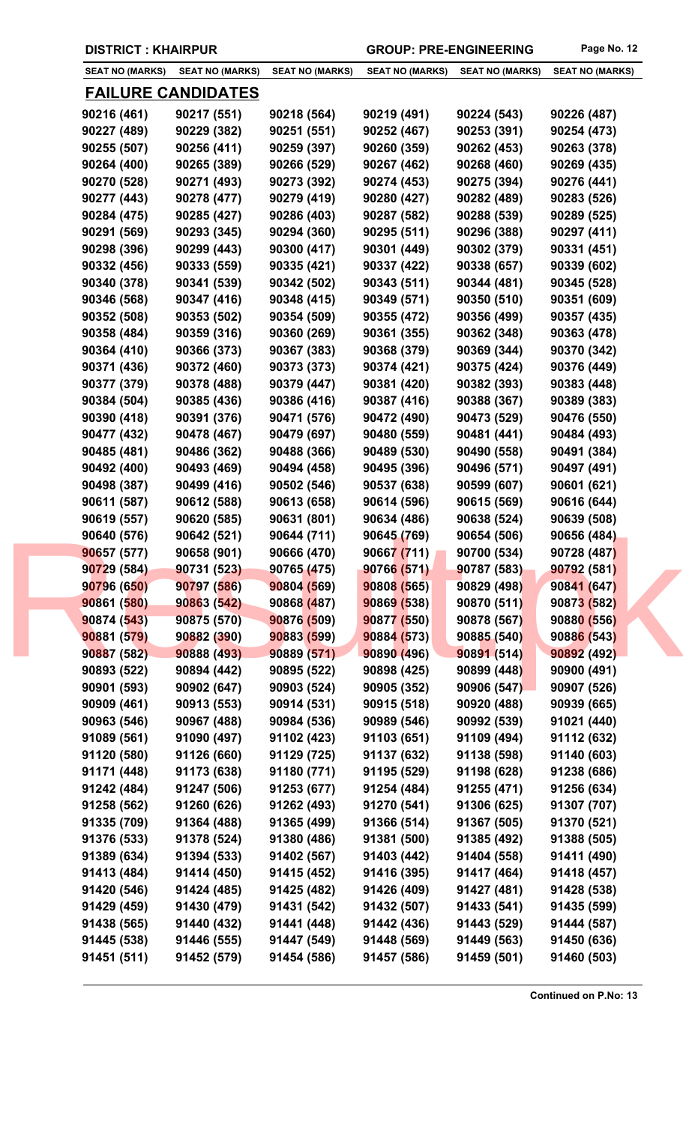|                        | <b>DISTRICT: KHAIRPUR</b> |                        |                        | <b>GROUP: PRE-ENGINEERING</b> |                        |
|------------------------|---------------------------|------------------------|------------------------|-------------------------------|------------------------|
| <b>SEAT NO (MARKS)</b> | <b>SEAT NO (MARKS)</b>    | <b>SEAT NO (MARKS)</b> | <b>SEAT NO (MARKS)</b> | <b>SEAT NO (MARKS)</b>        | <b>SEAT NO (MARKS)</b> |
|                        | <u>FAILURE CANDIDATES</u> |                        |                        |                               |                        |
| 90216 (461)            | 90217 (551)               | 90218 (564)            | 90219 (491)            | 90224 (543)                   | 90226 (487)            |
| 90227 (489)            | 90229 (382)               | 90251 (551)            | 90252 (467)            | 90253 (391)                   | 90254 (473)            |
| 90255 (507)            | 90256 (411)               | 90259 (397)            | 90260 (359)            | 90262 (453)                   | 90263 (378)            |
| 90264 (400)            | 90265 (389)               | 90266 (529)            | 90267 (462)            | 90268 (460)                   | 90269 (435)            |
| 90270 (528)            | 90271 (493)               | 90273 (392)            | 90274 (453)            | 90275 (394)                   | 90276 (441)            |
| 90277 (443)            | 90278 (477)               | 90279 (419)            | 90280 (427)            | 90282 (489)                   | 90283 (526)            |
| 90284 (475)            | 90285 (427)               | 90286 (403)            | 90287 (582)            | 90288 (539)                   | 90289 (525)            |
| 90291 (569)            | 90293 (345)               | 90294 (360)            | 90295 (511)            | 90296 (388)                   | 90297 (411)            |
| 90298 (396)            | 90299 (443)               | 90300 (417)            | 90301 (449)            | 90302 (379)                   | 90331 (451)            |
| 90332 (456)            | 90333 (559)               | 90335 (421)            | 90337 (422)            | 90338 (657)                   | 90339 (602)            |
| 90340 (378)            | 90341 (539)               | 90342 (502)            | 90343 (511)            | 90344 (481)                   | 90345 (528)            |
|                        |                           |                        |                        |                               |                        |
| 90346 (568)            | 90347 (416)               | 90348 (415)            | 90349 (571)            | 90350 (510)                   | 90351 (609)            |
| 90352 (508)            | 90353 (502)               | 90354 (509)            | 90355 (472)            | 90356 (499)                   | 90357 (435)            |
| 90358 (484)            | 90359 (316)               | 90360 (269)            | 90361 (355)            | 90362 (348)                   | 90363 (478)            |
| 90364 (410)            | 90366 (373)               | 90367 (383)            | 90368 (379)            | 90369 (344)                   | 90370 (342)            |
| 90371 (436)            | 90372 (460)               | 90373 (373)            | 90374 (421)            | 90375 (424)                   | 90376 (449)            |
| 90377 (379)            | 90378 (488)               | 90379 (447)            | 90381 (420)            | 90382 (393)                   | 90383 (448)            |
| 90384 (504)            | 90385 (436)               | 90386 (416)            | 90387 (416)            | 90388 (367)                   | 90389 (383)            |
| 90390 (418)            | 90391 (376)               | 90471 (576)            | 90472 (490)            | 90473 (529)                   | 90476 (550)            |
| 90477 (432)            | 90478 (467)               | 90479 (697)            | 90480 (559)            | 90481 (441)                   | 90484 (493)            |
| 90485 (481)            | 90486 (362)               | 90488 (366)            | 90489 (530)            | 90490 (558)                   | 90491 (384)            |
| 90492 (400)            | 90493 (469)               | 90494 (458)            | 90495 (396)            | 90496 (571)                   | 90497 (491)            |
| 90498 (387)            | 90499 (416)               | 90502 (546)            | 90537 (638)            | 90599 (607)                   | 90601 (621)            |
| 90611 (587)            | 90612 (588)               | 90613 (658)            | 90614 (596)            | 90615 (569)                   | 90616 (644)            |
| 90619 (557)            | 90620 (585)               | 90631 (801)            | 90634 (486)            | 90638 (524)                   | 90639 (508)            |
| 90640 (576)            | 90642 (521)               | 90644 (711)            | 90645 (769)            | 90654 (506)                   | 90656 (484)            |
| 90657 (577)            | 90658 (901)               | 90666 (470)            | 90667 (711)            | 90700 (534)                   | 90728 (487)            |
| 90729 (584)            | 90731 (523)               | 90765 (475)            | 90766 (571)            | 90787 (583)                   | 90792 (581)            |
| 90796 (650)            | 90797 (586)               | 90804 (569)            | 90808 (565)            | 90829 (498)                   | 90841 (647)            |
| 90861 (580)            | 90863 (542)               | 90868 (487)            | 90869 (538)            | 90870 (511)                   | 90873 (582)            |
| 90874 (543)            | 90875 (570)               | 90876 (509)            | 90877 (550)            | 90878 (567)                   | 90880 (556)            |
| 90881 (579)            | 90882 (390)               | 90883 (599)            | 90884 (573)            | 90885 (540)                   | 90886 (543)            |
| 90887 (582)            | 90888 (493)               | 90889(571)             | 90890 (496)            | 90891 (514)                   | 90892 (492)            |
| 90893 (522)            | 90894 (442)               | 90895 (522)            | 90898 (425)            | 90899 (448)                   | 90900 (491)            |
| 90901 (593)            | 90902 (647)               | 90903 (524)            | 90905 (352)            | 90906 (547)                   | 90907 (526)            |
| 90909 (461)            | 90913 (553)               | 90914 (531)            | 90915 (518)            | 90920 (488)                   | 90939 (665)            |
| 90963 (546)            | 90967 (488)               | 90984 (536)            | 90989 (546)            | 90992 (539)                   | 91021 (440)            |
| 91089 (561)            | 91090 (497)               | 91102 (423)            | 91103 (651)            | 91109 (494)                   | 91112 (632)            |
| 91120 (580)            | 91126 (660)               | 91129 (725)            | 91137 (632)            | 91138 (598)                   | 91140 (603)            |
|                        |                           |                        |                        |                               |                        |
| 91171 (448)            | 91173 (638)               | 91180 (771)            | 91195 (529)            | 91198 (628)                   | 91238 (686)            |
| 91242 (484)            | 91247 (506)               | 91253 (677)            | 91254 (484)            | 91255 (471)                   | 91256 (634)            |
| 91258 (562)            | 91260 (626)               | 91262 (493)            | 91270 (541)            | 91306 (625)                   | 91307 (707)            |
| 91335 (709)            | 91364 (488)               | 91365 (499)            | 91366 (514)            | 91367 (505)                   | 91370 (521)            |
| 91376 (533)            | 91378 (524)               | 91380 (486)            | 91381 (500)            | 91385 (492)                   | 91388 (505)            |
| 91389 (634)            | 91394 (533)               | 91402 (567)            | 91403 (442)            | 91404 (558)                   | 91411 (490)            |
| 91413 (484)            | 91414 (450)               | 91415 (452)            | 91416 (395)            | 91417 (464)                   | 91418 (457)            |
| 91420 (546)            | 91424 (485)               | 91425 (482)            | 91426 (409)            | 91427 (481)                   | 91428 (538)            |
| 91429 (459)            | 91430 (479)               | 91431 (542)            | 91432 (507)            | 91433 (541)                   | 91435 (599)            |
| 91438 (565)            | 91440 (432)               | 91441 (448)            | 91442 (436)            | 91443 (529)                   | 91444 (587)            |
| 91445 (538)            | 91446 (555)               | 91447 (549)            | 91448 (569)            | 91449 (563)                   | 91450 (636)            |
| 91451 (511)            | 91452 (579)               | 91454 (586)            | 91457 (586)            | 91459 (501)                   | 91460 (503)            |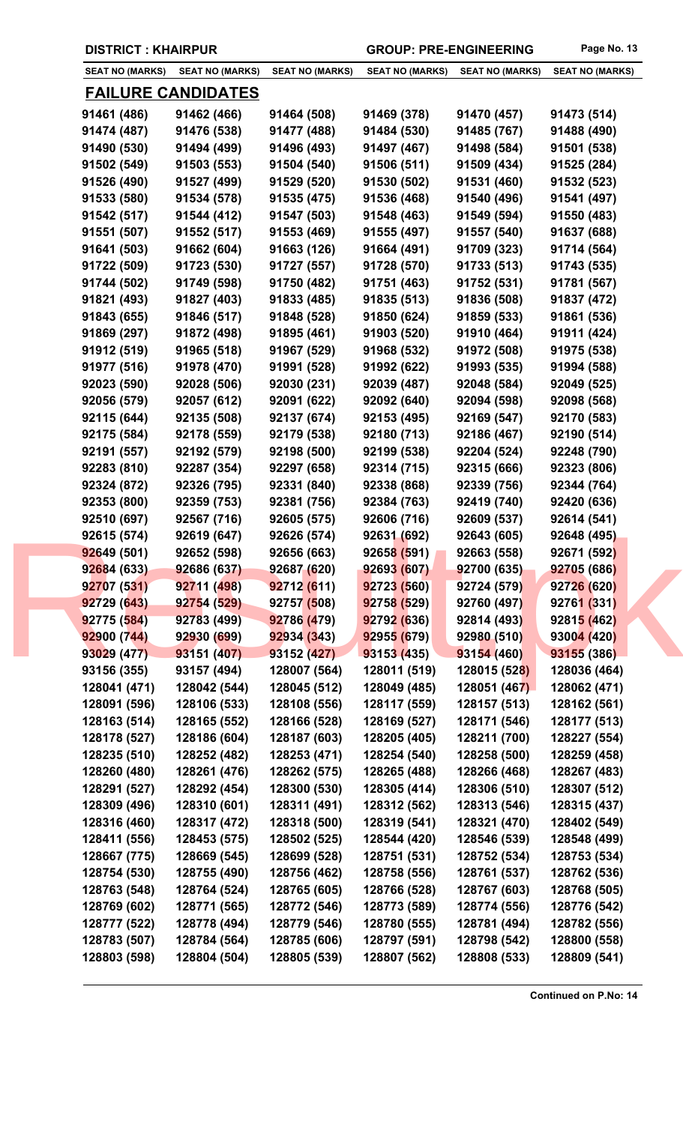| SEAT NO (MARKS) | <b>SEAT NO (MARKS)</b>    | <b>SEAT NO (MARKS)</b> | <b>SEAT NO (MARKS)</b> | <b>SEAT NO (MARKS)</b> | <b>SEAT NO (MARKS)</b> |
|-----------------|---------------------------|------------------------|------------------------|------------------------|------------------------|
|                 | <u>FAILURE CANDIDATES</u> |                        |                        |                        |                        |
| 91461 (486)     | 91462 (466)               | 91464 (508)            | 91469 (378)            | 91470 (457)            | 91473 (514)            |
| 91474 (487)     | 91476 (538)               | 91477 (488)            | 91484 (530)            | 91485 (767)            | 91488 (490)            |
| 91490 (530)     | 91494 (499)               | 91496 (493)            | 91497 (467)            | 91498 (584)            | 91501 (538)            |
| 91502 (549)     | 91503 (553)               | 91504 (540)            | 91506 (511)            | 91509 (434)            | 91525 (284)            |
| 91526 (490)     | 91527 (499)               | 91529 (520)            | 91530 (502)            | 91531 (460)            | 91532 (523)            |
| 91533 (580)     | 91534 (578)               | 91535 (475)            | 91536 (468)            | 91540 (496)            | 91541 (497)            |
| 91542 (517)     | 91544 (412)               | 91547 (503)            | 91548 (463)            | 91549 (594)            | 91550 (483)            |
| 91551 (507)     | 91552 (517)               | 91553 (469)            | 91555 (497)            | 91557 (540)            | 91637 (688)            |
| 91641 (503)     | 91662 (604)               | 91663 (126)            | 91664 (491)            | 91709 (323)            | 91714 (564)            |
| 91722 (509)     | 91723 (530)               | 91727 (557)            | 91728 (570)            | 91733 (513)            | 91743 (535)            |
| 91744 (502)     | 91749 (598)               | 91750 (482)            | 91751 (463)            | 91752 (531)            | 91781 (567)            |
| 91821 (493)     | 91827 (403)               | 91833 (485)            | 91835 (513)            | 91836 (508)            | 91837 (472)            |
| 91843 (655)     | 91846 (517)               | 91848 (528)            | 91850 (624)            | 91859 (533)            | 91861 (536)            |
| 91869 (297)     | 91872 (498)               | 91895 (461)            | 91903 (520)            | 91910 (464)            | 91911 (424)            |
| 91912 (519)     | 91965 (518)               | 91967 (529)            | 91968 (532)            | 91972 (508)            | 91975 (538)            |
| 91977 (516)     | 91978 (470)               | 91991 (528)            | 91992 (622)            | 91993 (535)            | 91994 (588)            |
| 92023 (590)     | 92028 (506)               | 92030 (231)            | 92039 (487)            | 92048 (584)            | 92049 (525)            |
| 92056 (579)     | 92057 (612)               | 92091 (622)            | 92092 (640)            | 92094 (598)            | 92098 (568)            |
| 92115 (644)     | 92135 (508)               | 92137 (674)            | 92153 (495)            | 92169 (547)            | 92170 (583)            |
| 92175 (584)     | 92178 (559)               | 92179 (538)            | 92180 (713)            | 92186 (467)            | 92190 (514)            |
| 92191 (557)     | 92192 (579)               | 92198 (500)            | 92199 (538)            | 92204 (524)            | 92248 (790)            |
| 92283 (810)     | 92287 (354)               | 92297 (658)            | 92314 (715)            | 92315 (666)            | 92323 (806)            |
| 92324 (872)     | 92326 (795)               | 92331 (840)            | 92338 (868)            | 92339 (756)            | 92344 (764)            |
| 92353 (800)     | 92359 (753)               | 92381 (756)            | 92384 (763)            | 92419 (740)            | 92420 (636)            |
| 92510 (697)     | 92567 (716)               | 92605 (575)            | 92606 (716)            | 92609 (537)            | 92614 (541)            |
| 92615 (574)     | 92619 (647)               | 92626 (574)            | 92631 (692)            | 92643 (605)            | 92648 (495)            |
| 92649 (501)     | 92652 (598)               | 92656 (663)            | 92658 (591)            | 92663 (558)            | 92671 (592)            |
| 92684 (633)     | 92686 (637)               | 92687 (620)            | 92693 (607)            | 92700 (635)            | 92705 (686)            |
| 92707 (531)     | 92711 (498)               | 92712 (611)            | 92723 (560)            | 92724 (579)            | 92726 (620)            |
| 92729 (643)     | 92754 (529)               | 92757 (508)            | 92758 (529)            | 92760 (497)            | 92761 (331)            |
| 92775 (584)     | 92783 (499)               | 92786 (479)            | 92792 (636)            | 92814 (493)            | 92815 (462)            |
| 92900 (744)     | 92930 (699)               | 92934 (343)            | 92955 (679)            | 92980 (510)            | 93004(420)             |
| 93029 (477)     | 93151 (407)               | 93152 (427)            | 93153 (435)            | 93154 (460)            | 93155 (386)            |
| 93156 (355)     | 93157 (494)               | 128007 (564)           | 128011 (519)           | 128015 (528)           | 128036 (464)           |
| 128041 (471)    | 128042 (544)              | 128045 (512)           | 128049 (485)           | 128051 (467)           | 128062 (471)           |
| 128091 (596)    | 128106 (533)              | 128108 (556)           | 128117 (559)           | 128157 (513)           | 128162 (561)           |
| 128163 (514)    | 128165 (552)              | 128166 (528)           | 128169 (527)           | 128171 (546)           | 128177 (513)           |
| 128178 (527)    | 128186 (604)              | 128187 (603)           | 128205 (405)           | 128211 (700)           | 128227 (554)           |
| 128235 (510)    | 128252 (482)              | 128253 (471)           | 128254 (540)           | 128258 (500)           | 128259 (458)           |
| 128260 (480)    | 128261 (476)              | 128262 (575)           | 128265 (488)           | 128266 (468)           | 128267 (483)           |
| 128291 (527)    | 128292 (454)              | 128300 (530)           | 128305 (414)           | 128306 (510)           | 128307 (512)           |
| 128309 (496)    | 128310 (601)              | 128311 (491)           | 128312 (562)           | 128313 (546)           | 128315 (437)           |
| 128316 (460)    | 128317 (472)              | 128318 (500)           | 128319 (541)           | 128321 (470)           | 128402 (549)           |
| 128411 (556)    | 128453 (575)              | 128502 (525)           | 128544 (420)           | 128546 (539)           | 128548 (499)           |
| 128667 (775)    | 128669 (545)              | 128699 (528)           | 128751 (531)           | 128752 (534)           | 128753 (534)           |
| 128754 (530)    | 128755 (490)              | 128756 (462)           | 128758 (556)           | 128761 (537)           | 128762 (536)           |
| 128763 (548)    | 128764 (524)              | 128765 (605)           | 128766 (528)           | 128767 (603)           | 128768 (505)           |
| 128769 (602)    | 128771 (565)              | 128772 (546)           | 128773 (589)           | 128774 (556)           | 128776 (542)           |
| 128777 (522)    | 128778 (494)              | 128779 (546)           | 128780 (555)           | 128781 (494)           | 128782 (556)           |
| 128783 (507)    | 128784 (564)              | 128785 (606)           | 128797 (591)           | 128798 (542)           | 128800 (558)           |
| 128803 (598)    | 128804 (504)              | 128805 (539)           | 128807 (562)           | 128808 (533)           | 128809 (541)           |